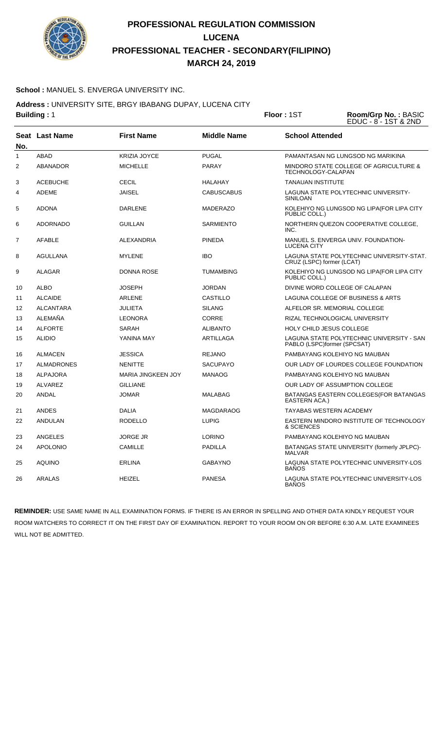

### **School :** MANUEL S. ENVERGA UNIVERSITY INC.

**Address :** UNIVERSITY SITE, BRGY IBABANG DUPAY, LUCENA CITY

| <b>Building: 1</b> |                   |                     | Floor: 1ST         | Room/Grp No.: BASIC<br>EDUC - 8 - 1ST & 2ND |                                             |
|--------------------|-------------------|---------------------|--------------------|---------------------------------------------|---------------------------------------------|
| No.                | Seat Last Name    | <b>First Name</b>   | <b>Middle Name</b> | <b>School Attended</b>                      |                                             |
| $\mathbf{1}$       | <b>ABAD</b>       | <b>KRIZIA JOYCE</b> | <b>PUGAL</b>       |                                             | PAMANTASAN NG LUNGSOD NG MARIKINA           |
| $\overline{2}$     | <b>ABANADOR</b>   | <b>MICHELLE</b>     | <b>PARAY</b>       | TECHNOLOGY-CALAPAN                          | MINDORO STATE COLLEGE OF AGRICULTURE &      |
| 3                  | <b>ACEBUCHE</b>   | <b>CECIL</b>        | <b>HALAHAY</b>     | <b>TANAUAN INSTITUTE</b>                    |                                             |
| 4                  | <b>ADEME</b>      | <b>JAISEL</b>       | <b>CABUSCABUS</b>  | <b>SINILOAN</b>                             | LAGUNA STATE POLYTECHNIC UNIVERSITY-        |
| 5                  | <b>ADONA</b>      | <b>DARLENE</b>      | MADERAZO           | PUBLIC COLL.)                               | KOLEHIYO NG LUNGSOD NG LIPA (FOR LIPA CITY  |
| 6                  | <b>ADORNADO</b>   | <b>GUILLAN</b>      | <b>SARMIENTO</b>   | INC.                                        | NORTHERN QUEZON COOPERATIVE COLLEGE,        |
| $\overline{7}$     | <b>AFABLE</b>     | <b>ALEXANDRIA</b>   | <b>PINEDA</b>      | <b>LUCENA CITY</b>                          | MANUEL S. ENVERGA UNIV. FOUNDATION-         |
| 8                  | <b>AGULLANA</b>   | <b>MYLENE</b>       | <b>IBO</b>         | CRUZ (LSPC) former (LCAT)                   | LAGUNA STATE POLYTECHNIC UNIVERSITY-STAT.   |
| 9                  | <b>ALAGAR</b>     | <b>DONNA ROSE</b>   | <b>TUMAMBING</b>   | PUBLIC COLL.)                               | KOLEHIYO NG LUNGSOD NG LIPA(FOR LIPA CITY   |
| 10                 | <b>ALBO</b>       | <b>JOSEPH</b>       | <b>JORDAN</b>      |                                             | DIVINE WORD COLLEGE OF CALAPAN              |
| 11                 | <b>ALCAIDE</b>    | <b>ARLENE</b>       | <b>CASTILLO</b>    |                                             | LAGUNA COLLEGE OF BUSINESS & ARTS           |
| 12                 | <b>ALCANTARA</b>  | <b>JULIETA</b>      | <b>SILANG</b>      |                                             | ALFELOR SR. MEMORIAL COLLEGE                |
| 13                 | ALEMAÑA           | <b>LEONORA</b>      | CORRE              |                                             | RIZAL TECHNOLOGICAL UNIVERSITY              |
| 14                 | <b>ALFORTE</b>    | SARAH               | <b>ALIBANTO</b>    | HOLY CHILD JESUS COLLEGE                    |                                             |
| 15                 | <b>ALIDIO</b>     | YANINA MAY          | <b>ARTILLAGA</b>   | PABLO (LSPC)former (SPCSAT)                 | LAGUNA STATE POLYTECHNIC UNIVERSITY - SAN   |
| 16                 | <b>ALMACEN</b>    | <b>JESSICA</b>      | <b>REJANO</b>      |                                             | PAMBAYANG KOLEHIYO NG MAUBAN                |
| 17                 | <b>ALMADRONES</b> | <b>NENITTE</b>      | <b>SACUPAYO</b>    |                                             | OUR LADY OF LOURDES COLLEGE FOUNDATION      |
| 18                 | <b>ALPAJORA</b>   | MARIA JINGKEEN JOY  | <b>MANAOG</b>      |                                             | PAMBAYANG KOLEHIYO NG MAUBAN                |
| 19                 | <b>ALVAREZ</b>    | <b>GILLIANE</b>     |                    |                                             | OUR LADY OF ASSUMPTION COLLEGE              |
| 20                 | <b>ANDAL</b>      | <b>JOMAR</b>        | <b>MALABAG</b>     | EASTERN ACA.)                               | BATANGAS EASTERN COLLEGES (FOR BATANGAS     |
| 21                 | <b>ANDES</b>      | <b>DALIA</b>        | <b>MAGDARAOG</b>   | <b>TAYABAS WESTERN ACADEMY</b>              |                                             |
| 22                 | <b>ANDULAN</b>    | <b>RODELLO</b>      | <b>LUPIG</b>       | & SCIENCES                                  | EASTERN MINDORO INSTITUTE OF TECHNOLOGY     |
| 23                 | <b>ANGELES</b>    | <b>JORGE JR</b>     | LORINO             |                                             | PAMBAYANG KOLEHIYO NG MAUBAN                |
| 24                 | <b>APOLONIO</b>   | <b>CAMILLE</b>      | <b>PADILLA</b>     | <b>MALVAR</b>                               | BATANGAS STATE UNIVERSITY (formerly JPLPC)- |
| 25                 | <b>AQUINO</b>     | <b>ERLINA</b>       | <b>GABAYNO</b>     | <b>BAÑOS</b>                                | LAGUNA STATE POLYTECHNIC UNIVERSITY-LOS     |
| 26                 | <b>ARALAS</b>     | <b>HEIZEL</b>       | <b>PANESA</b>      | <b>BANOS</b>                                | LAGUNA STATE POLYTECHNIC UNIVERSITY-LOS     |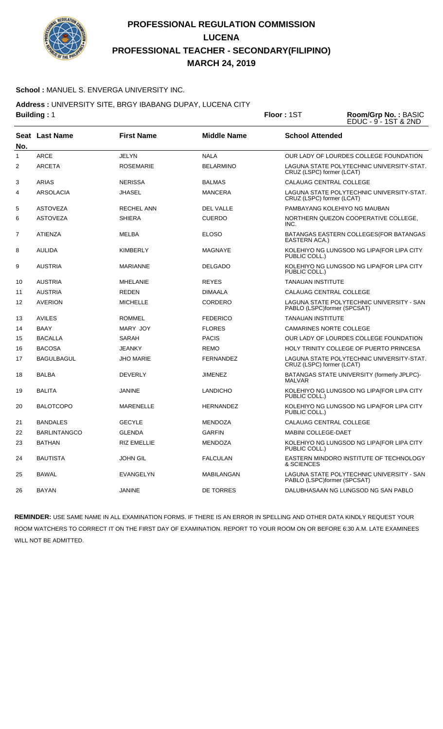

### **School :** MANUEL S. ENVERGA UNIVERSITY INC.

**Address :** UNIVERSITY SITE, BRGY IBABANG DUPAY, LUCENA CITY

| Floor: 1ST<br><b>Building: 1</b> |                     |                    |                    | Room/Grp No.: BASIC<br>EDUC - 9 - 1ST & 2ND |                                             |
|----------------------------------|---------------------|--------------------|--------------------|---------------------------------------------|---------------------------------------------|
| No.                              | Seat Last Name      | <b>First Name</b>  | <b>Middle Name</b> | <b>School Attended</b>                      |                                             |
| $\mathbf{1}$                     | <b>ARCE</b>         | <b>JELYN</b>       | <b>NALA</b>        |                                             | OUR LADY OF LOURDES COLLEGE FOUNDATION      |
| 2                                | <b>ARCETA</b>       | <b>ROSEMARIE</b>   | <b>BELARMINO</b>   | CRUZ (LSPC) former (LCAT)                   | LAGUNA STATE POLYTECHNIC UNIVERSITY-STAT.   |
| 3                                | <b>ARIAS</b>        | <b>NERISSA</b>     | <b>BALMAS</b>      | CALAUAG CENTRAL COLLEGE                     |                                             |
| 4                                | <b>ARSOLACIA</b>    | <b>JHASEL</b>      | <b>MANCERA</b>     | CRUZ (LSPC) former (LCAT)                   | LAGUNA STATE POLYTECHNIC UNIVERSITY-STAT.   |
| 5                                | <b>ASTOVEZA</b>     | <b>RECHEL ANN</b>  | <b>DEL VALLE</b>   |                                             | PAMBAYANG KOLEHIYO NG MAUBAN                |
| 6                                | <b>ASTOVEZA</b>     | <b>SHIERA</b>      | <b>CUERDO</b>      | INC.                                        | NORTHERN QUEZON COOPERATIVE COLLEGE,        |
| 7                                | <b>ATIENZA</b>      | <b>MELBA</b>       | <b>ELOSO</b>       | EASTERN ACA.)                               | BATANGAS EASTERN COLLEGES (FOR BATANGAS     |
| 8                                | <b>AULIDA</b>       | KIMBERLY           | <b>MAGNAYE</b>     | PUBLIC COLL.)                               | KOLEHIYO NG LUNGSOD NG LIPA(FOR LIPA CITY   |
| 9                                | <b>AUSTRIA</b>      | <b>MARIANNE</b>    | <b>DELGADO</b>     | PUBLIC COLL.)                               | KOLEHIYO NG LUNGSOD NG LIPA(FOR LIPA CITY   |
| 10                               | <b>AUSTRIA</b>      | <b>MHELANIE</b>    | <b>REYES</b>       | <b>TANAUAN INSTITUTE</b>                    |                                             |
| 11                               | <b>AUSTRIA</b>      | <b>REDEN</b>       | <b>DIMAALA</b>     | CALAUAG CENTRAL COLLEGE                     |                                             |
| 12                               | <b>AVERION</b>      | <b>MICHELLE</b>    | <b>CORDERO</b>     | PABLO (LSPC)former (SPCSAT)                 | LAGUNA STATE POLYTECHNIC UNIVERSITY - SAN   |
| 13                               | <b>AVILES</b>       | <b>ROMMEL</b>      | <b>FEDERICO</b>    | <b>TANAUAN INSTITUTE</b>                    |                                             |
| 14                               | <b>BAAY</b>         | MARY JOY           | <b>FLORES</b>      | <b>CAMARINES NORTE COLLEGE</b>              |                                             |
| 15                               | <b>BACALLA</b>      | SARAH              | <b>PACIS</b>       |                                             | OUR LADY OF LOURDES COLLEGE FOUNDATION      |
| 16                               | <b>BACOSA</b>       | <b>JEANKY</b>      | <b>REMO</b>        |                                             | HOLY TRINITY COLLEGE OF PUERTO PRINCESA     |
| 17                               | BAGULBAGUL          | <b>JHO MARIE</b>   | FERNANDEZ          | CRUZ (LSPC) former (LCAT)                   | LAGUNA STATE POLYTECHNIC UNIVERSITY-STAT.   |
| 18                               | <b>BALBA</b>        | <b>DEVERLY</b>     | <b>JIMENEZ</b>     | <b>MALVAR</b>                               | BATANGAS STATE UNIVERSITY (formerly JPLPC)- |
| 19                               | <b>BALITA</b>       | <b>JANINE</b>      | <b>LANDICHO</b>    | PUBLIC COLL.)                               | KOLEHIYO NG LUNGSOD NG LIPA (FOR LIPA CITY  |
| 20                               | <b>BALOTCOPO</b>    | <b>MARENELLE</b>   | HERNANDEZ          | PUBLIC COLL.)                               | KOLEHIYO NG LUNGSOD NG LIPA(FOR LIPA CITY   |
| 21                               | <b>BANDALES</b>     | <b>GECYLE</b>      | <b>MENDOZA</b>     | CALAUAG CENTRAL COLLEGE                     |                                             |
| 22                               | <b>BARLINTANGCO</b> | <b>GLENDA</b>      | <b>GARFIN</b>      | <b>MABINI COLLEGE-DAET</b>                  |                                             |
| 23                               | <b>BATHAN</b>       | <b>RIZ EMELLIE</b> | <b>MENDOZA</b>     | PUBLIC COLL.)                               | KOLEHIYO NG LUNGSOD NG LIPA (FOR LIPA CITY  |
| 24                               | <b>BAUTISTA</b>     | <b>JOHN GIL</b>    | <b>FALCULAN</b>    | & SCIENCES                                  | EASTERN MINDORO INSTITUTE OF TECHNOLOGY     |
| 25                               | <b>BAWAL</b>        | EVANGELYN          | MABILANGAN         | PABLO (LSPC)former (SPCSAT)                 | LAGUNA STATE POLYTECHNIC UNIVERSITY - SAN   |
| 26                               | BAYAN               | <b>JANINE</b>      | DE TORRES          |                                             | DALUBHASAAN NG LUNGSOD NG SAN PABLO         |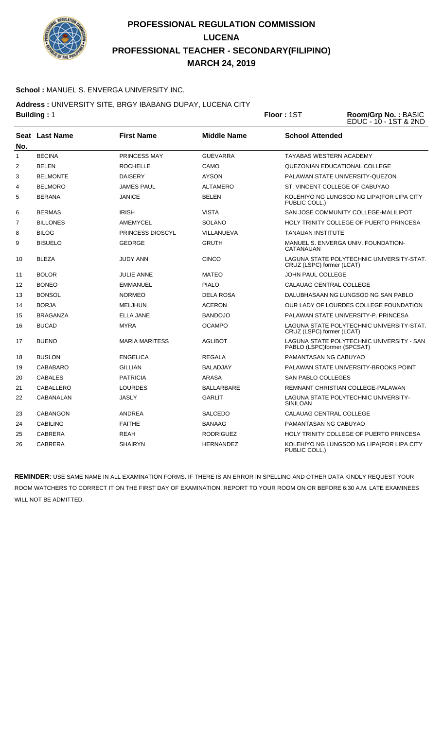

### **School :** MANUEL S. ENVERGA UNIVERSITY INC.

**Address :** UNIVERSITY SITE, BRGY IBABANG DUPAY, LUCENA CITY

|     | <b>Building: 1</b> |                       |                    | Floor: 1ST                     | Room/Grp No.: BASIC<br>EDUC - 10 - 1ST & 2ND |
|-----|--------------------|-----------------------|--------------------|--------------------------------|----------------------------------------------|
|     | Seat Last Name     | <b>First Name</b>     | <b>Middle Name</b> | <b>School Attended</b>         |                                              |
| No. |                    |                       |                    |                                |                                              |
| 1   | <b>BECINA</b>      | PRINCESS MAY          | <b>GUEVARRA</b>    | <b>TAYABAS WESTERN ACADEMY</b> |                                              |
| 2   | <b>BELEN</b>       | <b>ROCHELLE</b>       | CAMO               |                                | QUEZONIAN EDUCATIONAL COLLEGE                |
| 3   | <b>BELMONTE</b>    | <b>DAISERY</b>        | <b>AYSON</b>       |                                | PALAWAN STATE UNIVERSITY-QUEZON              |
| 4   | <b>BELMORO</b>     | <b>JAMES PAUL</b>     | <b>ALTAMERO</b>    |                                | ST. VINCENT COLLEGE OF CABUYAO               |
| 5   | <b>BERANA</b>      | <b>JANICE</b>         | <b>BELEN</b>       | PUBLIC COLL.)                  | KOLEHIYO NG LUNGSOD NG LIPA(FOR LIPA CITY    |
| 6   | <b>BERMAS</b>      | <b>IRISH</b>          | <b>VISTA</b>       |                                | SAN JOSE COMMUNITY COLLEGE-MALILIPOT         |
| 7   | <b>BILLONES</b>    | <b>AMEMYCEL</b>       | <b>SOLANO</b>      |                                | HOLY TRINITY COLLEGE OF PUERTO PRINCESA      |
| 8   | <b>BILOG</b>       | PRINCESS DIOSCYL      | VILLANUEVA         | <b>TANAUAN INSTITUTE</b>       |                                              |
| 9   | <b>BISUELO</b>     | <b>GEORGE</b>         | <b>GRUTH</b>       | CATANAUAN                      | MANUEL S. ENVERGA UNIV. FOUNDATION-          |
| 10  | <b>BLEZA</b>       | <b>JUDY ANN</b>       | <b>CINCO</b>       | CRUZ (LSPC) former (LCAT)      | LAGUNA STATE POLYTECHNIC UNIVERSITY-STAT.    |
| 11  | <b>BOLOR</b>       | <b>JULIE ANNE</b>     | <b>MATEO</b>       | <b>JOHN PAUL COLLEGE</b>       |                                              |
| 12  | <b>BONEO</b>       | <b>EMMANUEL</b>       | <b>PIALO</b>       | CALAUAG CENTRAL COLLEGE        |                                              |
| 13  | <b>BONSOL</b>      | <b>NORMEO</b>         | <b>DELA ROSA</b>   |                                | DALUBHASAAN NG LUNGSOD NG SAN PABLO          |
| 14  | <b>BORJA</b>       | <b>MELJHUN</b>        | <b>ACERON</b>      |                                | OUR LADY OF LOURDES COLLEGE FOUNDATION       |
| 15  | <b>BRAGANZA</b>    | <b>ELLA JANE</b>      | <b>BANDOJO</b>     |                                | PALAWAN STATE UNIVERSITY-P. PRINCESA         |
| 16  | <b>BUCAD</b>       | <b>MYRA</b>           | <b>OCAMPO</b>      | CRUZ (LSPC) former (LCAT)      | LAGUNA STATE POLYTECHNIC UNIVERSITY-STAT.    |
| 17  | <b>BUENO</b>       | <b>MARIA MARITESS</b> | <b>AGLIBOT</b>     | PABLO (LSPC)former (SPCSAT)    | LAGUNA STATE POLYTECHNIC UNIVERSITY - SAN    |
| 18  | <b>BUSLON</b>      | <b>ENGELICA</b>       | <b>REGALA</b>      | PAMANTASAN NG CABUYAO          |                                              |
| 19  | <b>CABABARO</b>    | <b>GILLIAN</b>        | <b>BALADJAY</b>    |                                | PALAWAN STATE UNIVERSITY-BROOKS POINT        |
| 20  | <b>CABALES</b>     | <b>PATRICIA</b>       | ARASA              | <b>SAN PABLO COLLEGES</b>      |                                              |
| 21  | CABALLERO          | <b>LOURDES</b>        | <b>BALLARBARE</b>  |                                | REMNANT CHRISTIAN COLLEGE-PALAWAN            |
| 22  | CABANALAN          | <b>JASLY</b>          | <b>GARLIT</b>      | <b>SINILOAN</b>                | LAGUNA STATE POLYTECHNIC UNIVERSITY-         |
| 23  | <b>CABANGON</b>    | <b>ANDREA</b>         | <b>SALCEDO</b>     | CALAUAG CENTRAL COLLEGE        |                                              |
| 24  | <b>CABILING</b>    | <b>FAITHE</b>         | <b>BANAAG</b>      | PAMANTASAN NG CABUYAO          |                                              |
| 25  | <b>CABRERA</b>     | <b>REAH</b>           | <b>RODRIGUEZ</b>   |                                | HOLY TRINITY COLLEGE OF PUERTO PRINCESA      |
| 26  | <b>CABRERA</b>     | <b>SHAIRYN</b>        | <b>HERNANDEZ</b>   | PUBLIC COLL.)                  | KOLEHIYO NG LUNGSOD NG LIPA(FOR LIPA CITY    |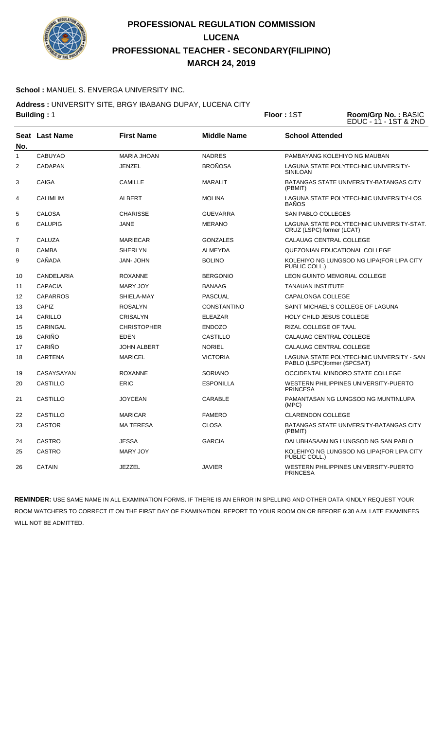

### **School :** MANUEL S. ENVERGA UNIVERSITY INC.

**Address :** UNIVERSITY SITE, BRGY IBABANG DUPAY, LUCENA CITY

| <b>Building: 1</b> |  |  |  |
|--------------------|--|--|--|
|                    |  |  |  |

**Building :** 1 **Floor :** 1ST **Room/Grp No. :** BASIC EDUC - 11 - 1ST & 2ND

| No.            | Seat Last Name  | <b>First Name</b>  | <b>Middle Name</b> | <b>School Attended</b>                                                   |
|----------------|-----------------|--------------------|--------------------|--------------------------------------------------------------------------|
| 1              | <b>CABUYAO</b>  | <b>MARIA JHOAN</b> | <b>NADRES</b>      | PAMBAYANG KOLEHIYO NG MAUBAN                                             |
| $\overline{2}$ | <b>CADAPAN</b>  | <b>JENZEL</b>      | <b>BROÑOSA</b>     | LAGUNA STATE POLYTECHNIC UNIVERSITY-<br><b>SINILOAN</b>                  |
| 3              | <b>CAIGA</b>    | <b>CAMILLE</b>     | <b>MARALIT</b>     | <b>BATANGAS STATE UNIVERSITY-BATANGAS CITY</b><br>(PBMIT)                |
| 4              | <b>CALIMLIM</b> | <b>ALBERT</b>      | <b>MOLINA</b>      | LAGUNA STATE POLYTECHNIC UNIVERSITY-LOS<br><b>BANOS</b>                  |
| 5              | <b>CALOSA</b>   | <b>CHARISSE</b>    | <b>GUEVARRA</b>    | <b>SAN PABLO COLLEGES</b>                                                |
| 6              | <b>CALUPIG</b>  | <b>JANE</b>        | <b>MERANO</b>      | LAGUNA STATE POLYTECHNIC UNIVERSITY-STAT.<br>CRUZ (LSPC) former (LCAT)   |
| 7              | CALUZA          | <b>MARIECAR</b>    | <b>GONZALES</b>    | CALAUAG CENTRAL COLLEGE                                                  |
| 8              | <b>CAMBA</b>    | <b>SHERLYN</b>     | <b>ALMEYDA</b>     | QUEZONIAN EDUCATIONAL COLLEGE                                            |
| 9              | CAÑADA          | <b>JAN-JOHN</b>    | <b>BOLINO</b>      | KOLEHIYO NG LUNGSOD NG LIPA(FOR LIPA CITY<br>PUBLIC COLL.)               |
| 10             | CANDELARIA      | <b>ROXANNE</b>     | <b>BERGONIO</b>    | LEON GUINTO MEMORIAL COLLEGE                                             |
| 11             | <b>CAPACIA</b>  | MARY JOY           | <b>BANAAG</b>      | <b>TANAUAN INSTITUTE</b>                                                 |
| 12             | <b>CAPARROS</b> | SHIELA-MAY         | <b>PASCUAL</b>     | CAPALONGA COLLEGE                                                        |
| 13             | CAPIZ           | <b>ROSALYN</b>     | <b>CONSTANTINO</b> | SAINT MICHAEL'S COLLEGE OF LAGUNA                                        |
| 14             | CARILLO         | <b>CRISALYN</b>    | <b>ELEAZAR</b>     | HOLY CHILD JESUS COLLEGE                                                 |
| 15             | CARINGAL        | <b>CHRISTOPHER</b> | <b>ENDOZO</b>      | RIZAL COLLEGE OF TAAL                                                    |
| 16             | CARIÑO          | <b>EDEN</b>        | CASTILLO           | CALAUAG CENTRAL COLLEGE                                                  |
| 17             | CARIÑO          | <b>JOHN ALBERT</b> | <b>NORIEL</b>      | CALAUAG CENTRAL COLLEGE                                                  |
| 18             | <b>CARTENA</b>  | <b>MARICEL</b>     | <b>VICTORIA</b>    | LAGUNA STATE POLYTECHNIC UNIVERSITY - SAN<br>PABLO (LSPC)former (SPCSAT) |
| 19             | CASAYSAYAN      | <b>ROXANNE</b>     | <b>SORIANO</b>     | OCCIDENTAL MINDORO STATE COLLEGE                                         |
| 20             | <b>CASTILLO</b> | <b>ERIC</b>        | <b>ESPONILLA</b>   | WESTERN PHILIPPINES UNIVERSITY-PUERTO<br><b>PRINCESA</b>                 |
| 21             | <b>CASTILLO</b> | <b>JOYCEAN</b>     | <b>CARABLE</b>     | PAMANTASAN NG LUNGSOD NG MUNTINLUPA<br>(MPC)                             |
| 22             | <b>CASTILLO</b> | <b>MARICAR</b>     | <b>FAMERO</b>      | <b>CLARENDON COLLEGE</b>                                                 |
| 23             | <b>CASTOR</b>   | <b>MATERESA</b>    | <b>CLOSA</b>       | BATANGAS STATE UNIVERSITY-BATANGAS CITY<br>(PBMIT)                       |
| 24             | <b>CASTRO</b>   | <b>JESSA</b>       | <b>GARCIA</b>      | DALUBHASAAN NG LUNGSOD NG SAN PABLO                                      |
| 25             | <b>CASTRO</b>   | MARY JOY           |                    | KOLEHIYO NG LUNGSOD NG LIPA(FOR LIPA CITY<br>PUBLIC COLL.)               |
| 26             | <b>CATAIN</b>   | <b>JEZZEL</b>      | <b>JAVIER</b>      | WESTERN PHILIPPINES UNIVERSITY-PUERTO<br><b>PRINCESA</b>                 |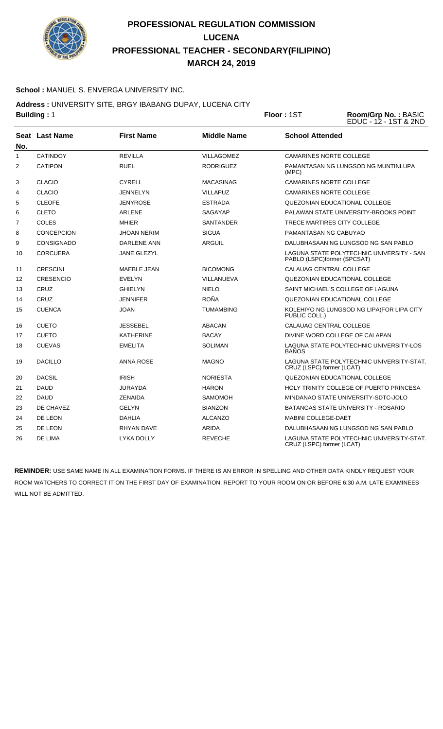

### **School :** MANUEL S. ENVERGA UNIVERSITY INC.

**Address :** UNIVERSITY SITE, BRGY IBABANG DUPAY, LUCENA CITY

| <b>Building: 1</b> |                   | Floor: 1ST         | Room/Grp No.: BASIC<br>EDUC - 12 - 1ST & 2ND |                            |                                                                          |
|--------------------|-------------------|--------------------|----------------------------------------------|----------------------------|--------------------------------------------------------------------------|
|                    | Seat Last Name    | <b>First Name</b>  | <b>Middle Name</b>                           | <b>School Attended</b>     |                                                                          |
| No.                |                   |                    |                                              |                            |                                                                          |
| 1                  | <b>CATINDOY</b>   | <b>REVILLA</b>     | <b>VILLAGOMEZ</b>                            |                            | <b>CAMARINES NORTE COLLEGE</b>                                           |
| 2                  | <b>CATIPON</b>    | <b>RUEL</b>        | <b>RODRIGUEZ</b>                             | (MPC)                      | PAMANTASAN NG LUNGSOD NG MUNTINLUPA                                      |
| 3                  | <b>CLACIO</b>     | <b>CYRELL</b>      | <b>MACASINAG</b>                             |                            | <b>CAMARINES NORTE COLLEGE</b>                                           |
| 4                  | <b>CLACIO</b>     | <b>JENNELYN</b>    | <b>VILLAPUZ</b>                              |                            | <b>CAMARINES NORTE COLLEGE</b>                                           |
| 5                  | <b>CLEOFE</b>     | <b>JENYROSE</b>    | <b>ESTRADA</b>                               |                            | QUEZONIAN EDUCATIONAL COLLEGE                                            |
| 6                  | <b>CLETO</b>      | ARLENE             | SAGAYAP                                      |                            | PALAWAN STATE UNIVERSITY-BROOKS POINT                                    |
| $\overline{7}$     | <b>COLES</b>      | <b>MHIER</b>       | <b>SANTANDER</b>                             |                            | TRECE MARTIRES CITY COLLEGE                                              |
| 8                  | <b>CONCEPCION</b> | <b>JHOAN NERIM</b> | <b>SIGUA</b>                                 | PAMANTASAN NG CABUYAO      |                                                                          |
| 9                  | <b>CONSIGNADO</b> | DARLENE ANN        | <b>ARGUIL</b>                                |                            | DALUBHASAAN NG LUNGSOD NG SAN PABLO                                      |
| 10                 | <b>CORCUERA</b>   | <b>JANE GLEZYL</b> |                                              |                            | LAGUNA STATE POLYTECHNIC UNIVERSITY - SAN<br>PABLO (LSPC)former (SPCSAT) |
| 11                 | <b>CRESCINI</b>   | MAEBLE JEAN        | <b>BICOMONG</b>                              |                            | CALAUAG CENTRAL COLLEGE                                                  |
| 12                 | <b>CRESENCIO</b>  | <b>EVELYN</b>      | <b>VILLANUEVA</b>                            |                            | QUEZONIAN EDUCATIONAL COLLEGE                                            |
| 13                 | <b>CRUZ</b>       | <b>GHIELYN</b>     | <b>NIELO</b>                                 |                            | SAINT MICHAEL'S COLLEGE OF LAGUNA                                        |
| 14                 | CRUZ              | <b>JENNIFER</b>    | <b>ROÑA</b>                                  |                            | QUEZONIAN EDUCATIONAL COLLEGE                                            |
| 15                 | <b>CUENCA</b>     | <b>JOAN</b>        | <b>TUMAMBING</b>                             | PUBLIC COLL.)              | KOLEHIYO NG LUNGSOD NG LIPA(FOR LIPA CITY                                |
| 16                 | <b>CUETO</b>      | <b>JESSEBEL</b>    | <b>ABACAN</b>                                |                            | CALAUAG CENTRAL COLLEGE                                                  |
| 17                 | <b>CUETO</b>      | <b>KATHERINE</b>   | <b>BACAY</b>                                 |                            | DIVINE WORD COLLEGE OF CALAPAN                                           |
| 18                 | <b>CUEVAS</b>     | <b>EMELITA</b>     | <b>SOLIMAN</b>                               | <b>BAÑOS</b>               | LAGUNA STATE POLYTECHNIC UNIVERSITY-LOS                                  |
| 19                 | <b>DACILLO</b>    | <b>ANNA ROSE</b>   | <b>MAGNO</b>                                 | CRUZ (LSPC) former (LCAT)  | LAGUNA STATE POLYTECHNIC UNIVERSITY-STAT.                                |
| 20                 | <b>DACSIL</b>     | <b>IRISH</b>       | <b>NORIESTA</b>                              |                            | QUEZONIAN EDUCATIONAL COLLEGE                                            |
| 21                 | <b>DAUD</b>       | <b>JURAYDA</b>     | <b>HARON</b>                                 |                            | <b>HOLY TRINITY COLLEGE OF PUERTO PRINCESA</b>                           |
| 22                 | DAUD              | <b>ZENAIDA</b>     | <b>SAMOMOH</b>                               |                            | MINDANAO STATE UNIVERSITY-SDTC-JOLO                                      |
| 23                 | DE CHAVEZ         | <b>GELYN</b>       | <b>BIANZON</b>                               |                            | <b>BATANGAS STATE UNIVERSITY - ROSARIO</b>                               |
| 24                 | DE LEON           | <b>DAHLIA</b>      | <b>ALCANZO</b>                               | <b>MABINI COLLEGE-DAET</b> |                                                                          |
| 25                 | DE LEON           | <b>RHYAN DAVE</b>  | ARIDA                                        |                            | DALUBHASAAN NG LUNGSOD NG SAN PABLO                                      |
| 26                 | DE LIMA           | <b>LYKA DOLLY</b>  | <b>REVECHE</b>                               | CRUZ (LSPC) former (LCAT)  | LAGUNA STATE POLYTECHNIC UNIVERSITY-STAT.                                |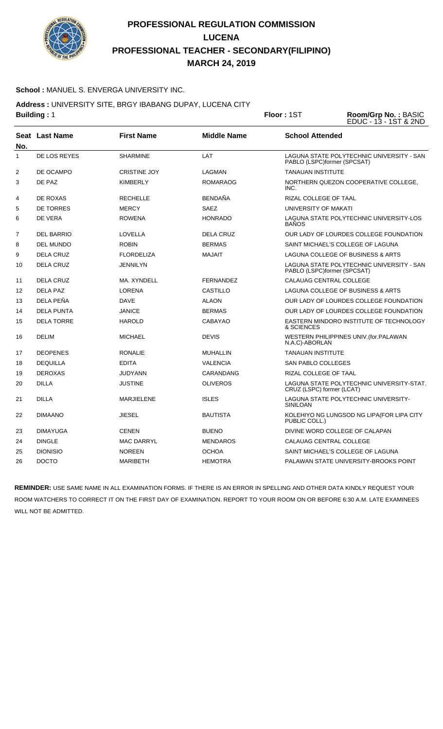

#### **School :** MANUEL S. ENVERGA UNIVERSITY INC.

**Address :** UNIVERSITY SITE, BRGY IBABANG DUPAY, LUCENA CITY

**Building :** 1 **Floor :** 1ST **Room/Grp No. :** BASIC EDUC - 13 - 1ST & 2ND **Seat** Last Name **No. Last Name First Name Middle Name School Attended** 1 DE LOS REYES SHARMINE LAT LAGUNA STATE POLYTECHNIC UNIVERSITY - SAN PABLO (LSPC)former (SPCSAT) 2 DE OCAMPO CRISTINE JOY LAGMAN TANAUAN INSTITUTE 3 DE PAZ KIMBERLY ROMARAOG NORTHERN QUEZON COOPERATIVE COLLEGE, INC. 4 DE ROXAS RECHELLE BENDAÑA RIZAL COLLEGE OF TAAL 5 DE TORRES MERCY SAEZ SAEZ UNIVERSITY OF MAKATI 6 DE VERA ROWENA HONRADO LAGUNA STATE POLYTECHNIC UNIVERSITY-LOS BAÑOS 7 DEL BARRIO LOVELLA DELA CRUZ OUR LADY OF LOURDES COLLEGE FOUNDATION 8 DEL MUNDO ROBIN ROBIN BERMAS SAINT MICHAEL'S COLLEGE OF LAGUNA 9 DELA CRUZ FLORDELIZA MAJAIT LAGUNA COLLEGE OF BUSINESS & ARTS 10 DELA CRUZ JENNILYN JENNILYN LAGUNA STATE POLYTECHNIC UNIVERSITY - SAN PABLO (LSPC)former (SPCSAT) 11 DELA CRUZ MA. XYNDELL FERNANDEZ CALAUAG CENTRAL COLLEGE 12 DELA PAZ LORENA CASTILLO LAGUNA COLLEGE OF BUSINESS & ARTS 13 DELA PEÑA DAVE DAVE ALAON ALAON OUR LADY OF LOURDES COLLEGE FOUNDATION 14 DELA PUNTA JANICE BERMAS OUR LADY OF LOURDES COLLEGE FOUNDATION 15 DELA TORRE HAROLD CABAYAO EASTERN MINDORO INSTITUTE OF TECHNOLOGY & SCIENCES 16 DELIM MICHAEL DEVIS WESTERN PHILIPPINES UNIV.(for.PALAWAN N.A.C)-ABORLAN 17 DEOPENES RONALIE MUHALLIN TANAUAN INSTITUTE 18 DEQUILLA EDITA VALENCIA SAN PABLO COLLEGES 19 DEROXAS JUDYANN CARANDANG RIZAL COLLEGE OF TAAL 20 DILLA JUSTINE OLIVEROS LAGUNA STATE POLYTECHNIC UNIVERSITY-STAT. CRUZ (LSPC) former (LCAT) 21 DILLA MARJIELENE ISLES LAGUNA STATE POLYTECHNIC UNIVERSITY-SINILOAN 22 DIMAANO JIESEL JUESEL BAUTISTA KOLEHIYO NG LUNGSOD NG LIPA(FOR LIPA CITY PUBLIC COLL.) 23 DIMAYUGA CENEN CENEN BUENO BUENO DIVINE WORD COLLEGE OF CALAPAN 24 DINGLE MAC DARRYL MENDAROS CALAUAG CENTRAL COLLEGE 25 DIONISIO NOREEN OCHOA SAINT MICHAEL'S COLLEGE OF LAGUNA 26 DOCTO MARIBETH HEMOTRA PALAWAN STATE UNIVERSITY-BROOKS POINT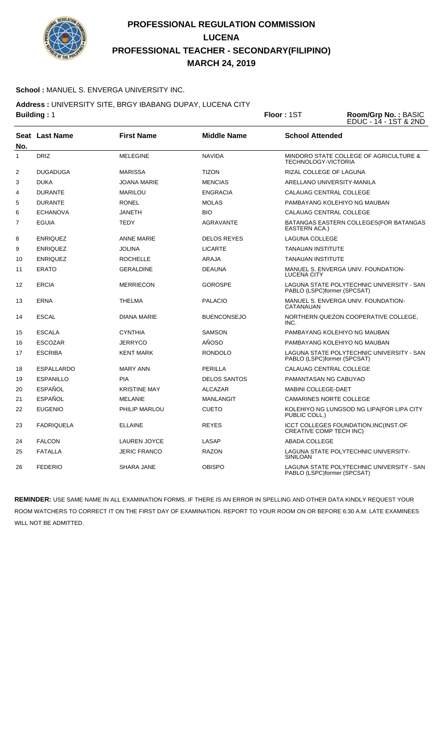

### **School :** MANUEL S. ENVERGA UNIVERSITY INC.

**Address :** UNIVERSITY SITE, BRGY IBABANG DUPAY, LUCENA CITY

|                         | <b>Building: 1</b>    |                     |                     | Floor: 1ST                     | Room/Grp No.: BASIC<br>EDUC - 14 - 1ST & 2ND |
|-------------------------|-----------------------|---------------------|---------------------|--------------------------------|----------------------------------------------|
| No.                     | <b>Seat Last Name</b> | <b>First Name</b>   | <b>Middle Name</b>  | <b>School Attended</b>         |                                              |
| $\mathbf{1}$            | <b>DRIZ</b>           | <b>MELEGINE</b>     | <b>NAVIDA</b>       | <b>TECHNOLOGY-VICTORIA</b>     | MINDORO STATE COLLEGE OF AGRICULTURE &       |
| $\overline{\mathbf{c}}$ | <b>DUGADUGA</b>       | <b>MARISSA</b>      | <b>TIZON</b>        | RIZAL COLLEGE OF LAGUNA        |                                              |
| 3                       | <b>DUKA</b>           | JOANA MARIE         | <b>MENCIAS</b>      |                                | ARELLANO UNIVERSITY-MANILA                   |
| 4                       | <b>DURANTE</b>        | <b>MARILOU</b>      | <b>ENGRACIA</b>     | CALAUAG CENTRAL COLLEGE        |                                              |
| 5                       | <b>DURANTE</b>        | <b>RONEL</b>        | <b>MOLAS</b>        |                                | PAMBAYANG KOLEHIYO NG MAUBAN                 |
| 6                       | <b>ECHANOVA</b>       | <b>JANETH</b>       | <b>BIO</b>          | CALAUAG CENTRAL COLLEGE        |                                              |
| $\overline{7}$          | <b>EGUIA</b>          | <b>TEDY</b>         | <b>AGRAVANTE</b>    | EASTERN ACA.)                  | BATANGAS EASTERN COLLEGES (FOR BATANGAS      |
| 8                       | <b>ENRIQUEZ</b>       | <b>ANNE MARIE</b>   | <b>DELOS REYES</b>  | <b>LAGUNA COLLEGE</b>          |                                              |
| 9                       | <b>ENRIQUEZ</b>       | <b>JOLINA</b>       | <b>LICARTE</b>      | <b>TANAUAN INSTITUTE</b>       |                                              |
| 10                      | <b>ENRIQUEZ</b>       | <b>ROCHELLE</b>     | <b>ARAJA</b>        | <b>TANAUAN INSTITUTE</b>       |                                              |
| 11                      | <b>ERATO</b>          | <b>GERALDINE</b>    | <b>DEAUNA</b>       | <b>LUCENA CITY</b>             | MANUEL S. ENVERGA UNIV. FOUNDATION-          |
| 12                      | <b>ERCIA</b>          | <b>MERRIECON</b>    | <b>GOROSPE</b>      | PABLO (LSPC)former (SPCSAT)    | LAGUNA STATE POLYTECHNIC UNIVERSITY - SAN    |
| 13                      | <b>ERNA</b>           | <b>THELMA</b>       | <b>PALACIO</b>      | CATANAUAN                      | MANUEL S. ENVERGA UNIV. FOUNDATION-          |
| 14                      | <b>ESCAL</b>          | DIANA MARIE         | <b>BUENCONSEJO</b>  | INC.                           | NORTHERN QUEZON COOPERATIVE COLLEGE,         |
| 15                      | <b>ESCALA</b>         | <b>CYNTHIA</b>      | <b>SAMSON</b>       |                                | PAMBAYANG KOLEHIYO NG MAUBAN                 |
| 16                      | <b>ESCOZAR</b>        | <b>JERRYCO</b>      | AÑOSO               |                                | PAMBAYANG KOLEHIYO NG MAUBAN                 |
| 17                      | <b>ESCRIBA</b>        | <b>KENT MARK</b>    | <b>RONDOLO</b>      | PABLO (LSPC)former (SPCSAT)    | LAGUNA STATE POLYTECHNIC UNIVERSITY - SAN    |
| 18                      | <b>ESPALLARDO</b>     | <b>MARY ANN</b>     | PERILLA             | CALAUAG CENTRAL COLLEGE        |                                              |
| 19                      | <b>ESPANILLO</b>      | <b>PIA</b>          | <b>DELOS SANTOS</b> | PAMANTASAN NG CABUYAO          |                                              |
| 20                      | <b>ESPAÑOL</b>        | <b>KRISTINE MAY</b> | <b>ALCAZAR</b>      | <b>MABINI COLLEGE-DAET</b>     |                                              |
| 21                      | <b>ESPAÑOL</b>        | <b>MELANIE</b>      | <b>MANLANGIT</b>    | <b>CAMARINES NORTE COLLEGE</b> |                                              |
| 22                      | <b>EUGENIO</b>        | PHILIP MARLOU       | <b>CUETO</b>        | PUBLIC COLL.)                  | KOLEHIYO NG LUNGSOD NG LIPA (FOR LIPA CITY   |
| 23                      | <b>FADRIQUELA</b>     | <b>ELLAINE</b>      | <b>REYES</b>        | <b>CREATIVE COMP TECH INC)</b> | ICCT COLLEGES FOUNDATION, INC(INST.OF        |
| 24                      | <b>FALCON</b>         | <b>LAUREN JOYCE</b> | LASAP               | <b>ABADA COLLEGE</b>           |                                              |
| 25                      | <b>FATALLA</b>        | <b>JERIC FRANCO</b> | <b>RAZON</b>        | <b>SINILOAN</b>                | LAGUNA STATE POLYTECHNIC UNIVERSITY-         |
| 26                      | <b>FEDERIO</b>        | <b>SHARA JANE</b>   | <b>OBISPO</b>       | PABLO (LSPC)former (SPCSAT)    | LAGUNA STATE POLYTECHNIC UNIVERSITY - SAN    |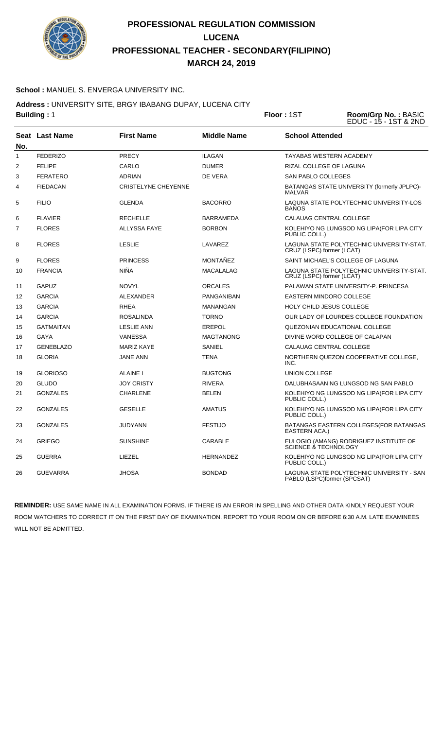

### **School :** MANUEL S. ENVERGA UNIVERSITY INC.

**Address :** UNIVERSITY SITE, BRGY IBABANG DUPAY, LUCENA CITY

|     | <b>Building: 1</b> |                            |                    | Floor: 1ST                      | Room/Grp No.: BASIC<br>EDUC - 15 - 1ST & 2ND |
|-----|--------------------|----------------------------|--------------------|---------------------------------|----------------------------------------------|
| No. | Seat Last Name     | <b>First Name</b>          | <b>Middle Name</b> | <b>School Attended</b>          |                                              |
| 1   | <b>FEDERIZO</b>    | <b>PRECY</b>               | <b>ILAGAN</b>      | <b>TAYABAS WESTERN ACADEMY</b>  |                                              |
| 2   | <b>FELIPE</b>      | CARLO                      | <b>DUMER</b>       | RIZAL COLLEGE OF LAGUNA         |                                              |
| 3   | <b>FERATERO</b>    | <b>ADRIAN</b>              | DE VERA            | SAN PABLO COLLEGES              |                                              |
| 4   | <b>FIEDACAN</b>    | <b>CRISTELYNE CHEYENNE</b> |                    | <b>MALVAR</b>                   | BATANGAS STATE UNIVERSITY (formerly JPLPC)-  |
| 5   | <b>FILIO</b>       | <b>GLENDA</b>              | <b>BACORRO</b>     | <b>BAÑOS</b>                    | LAGUNA STATE POLYTECHNIC UNIVERSITY-LOS      |
| 6   | <b>FLAVIER</b>     | <b>RECHELLE</b>            | <b>BARRAMEDA</b>   | CALAUAG CENTRAL COLLEGE         |                                              |
| 7   | <b>FLORES</b>      | <b>ALLYSSA FAYE</b>        | <b>BORBON</b>      | PUBLIC COLL.)                   | KOLEHIYO NG LUNGSOD NG LIPA(FOR LIPA CITY    |
| 8   | <b>FLORES</b>      | <b>LESLIE</b>              | LAVAREZ            | CRUZ (LSPC) former (LCAT)       | LAGUNA STATE POLYTECHNIC UNIVERSITY-STAT.    |
| 9   | <b>FLORES</b>      | <b>PRINCESS</b>            | <b>MONTAÑEZ</b>    |                                 | SAINT MICHAEL'S COLLEGE OF LAGUNA            |
| 10  | <b>FRANCIA</b>     | <b>NIÑA</b>                | <b>MACALALAG</b>   | CRUZ (LSPC) former (LCAT)       | LAGUNA STATE POLYTECHNIC UNIVERSITY-STAT.    |
| 11  | <b>GAPUZ</b>       | <b>NOVYL</b>               | <b>ORCALES</b>     |                                 | PALAWAN STATE UNIVERSITY-P. PRINCESA         |
| 12  | <b>GARCIA</b>      | <b>ALEXANDER</b>           | <b>PANGANIBAN</b>  | <b>EASTERN MINDORO COLLEGE</b>  |                                              |
| 13  | <b>GARCIA</b>      | <b>RHEA</b>                | MANANGAN           | <b>HOLY CHILD JESUS COLLEGE</b> |                                              |
| 14  | <b>GARCIA</b>      | <b>ROSALINDA</b>           | <b>TORNO</b>       |                                 | OUR LADY OF LOURDES COLLEGE FOUNDATION       |
| 15  | <b>GATMAITAN</b>   | <b>LESLIE ANN</b>          | <b>EREPOL</b>      |                                 | QUEZONIAN EDUCATIONAL COLLEGE                |
| 16  | <b>GAYA</b>        | <b>VANESSA</b>             | <b>MAGTANONG</b>   |                                 | DIVINE WORD COLLEGE OF CALAPAN               |
| 17  | <b>GENEBLAZO</b>   | <b>MARIZ KAYE</b>          | SANIEL             | CALAUAG CENTRAL COLLEGE         |                                              |
| 18  | <b>GLORIA</b>      | <b>JANE ANN</b>            | <b>TENA</b>        | INC.                            | NORTHERN QUEZON COOPERATIVE COLLEGE,         |
| 19  | <b>GLORIOSO</b>    | <b>ALAINE I</b>            | <b>BUGTONG</b>     | <b>UNION COLLEGE</b>            |                                              |
| 20  | <b>GLUDO</b>       | <b>JOY CRISTY</b>          | <b>RIVERA</b>      |                                 | DALUBHASAAN NG LUNGSOD NG SAN PABLO          |
| 21  | <b>GONZALES</b>    | <b>CHARLENE</b>            | <b>BELEN</b>       | PUBLIC COLL.)                   | KOLEHIYO NG LUNGSOD NG LIPA(FOR LIPA CITY    |
| 22  | <b>GONZALES</b>    | <b>GESELLE</b>             | <b>AMATUS</b>      | PUBLIC COLL.)                   | KOLEHIYO NG LUNGSOD NG LIPA(FOR LIPA CITY    |
| 23  | <b>GONZALES</b>    | <b>JUDYANN</b>             | <b>FESTIJO</b>     | EASTERN ACA.)                   | BATANGAS EASTERN COLLEGES (FOR BATANGAS      |
| 24  | <b>GRIEGO</b>      | <b>SUNSHINE</b>            | <b>CARABLE</b>     | SCIENCE & TECHNOLOGY            | EULOGIO (AMANG) RODRIGUEZ INSTITUTE OF       |
| 25  | <b>GUERRA</b>      | LIEZEL                     | <b>HERNANDEZ</b>   | PUBLIC COLL.)                   | KOLEHIYO NG LUNGSOD NG LIPA(FOR LIPA CITY    |
| 26  | <b>GUEVARRA</b>    | <b>JHOSA</b>               | <b>BONDAD</b>      | PABLO (LSPC)former (SPCSAT)     | LAGUNA STATE POLYTECHNIC UNIVERSITY - SAN    |
|     |                    |                            |                    |                                 |                                              |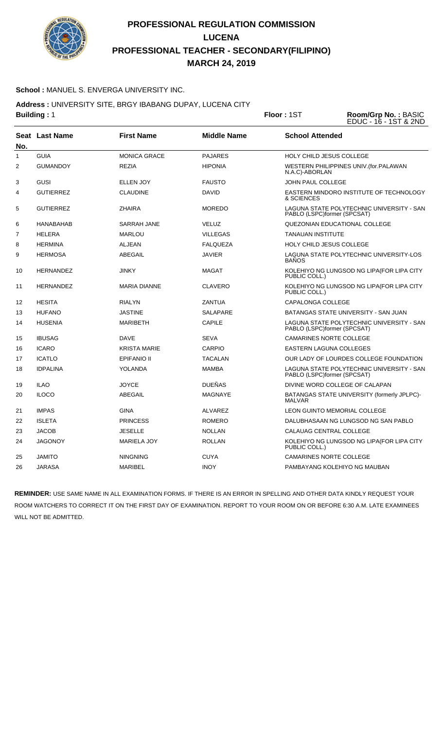

### **School :** MANUEL S. ENVERGA UNIVERSITY INC.

**Address :** UNIVERSITY SITE, BRGY IBABANG DUPAY, LUCENA CITY

| <b>Building: 1</b> |                       |                     | Floor: 1ST         | Room/Grp No.: BASIC<br>EDUC - 16 - 1ST & 2ND |                                                                          |
|--------------------|-----------------------|---------------------|--------------------|----------------------------------------------|--------------------------------------------------------------------------|
| No.                | <b>Seat Last Name</b> | <b>First Name</b>   | <b>Middle Name</b> | <b>School Attended</b>                       |                                                                          |
| 1                  | <b>GUIA</b>           | <b>MONICA GRACE</b> | <b>PAJARES</b>     |                                              | <b>HOLY CHILD JESUS COLLEGE</b>                                          |
| $\overline{2}$     | <b>GUMANDOY</b>       | <b>REZIA</b>        | <b>HIPONIA</b>     | N.A.C)-ABORLAN                               | WESTERN PHILIPPINES UNIV. (for. PALAWAN                                  |
| 3                  | <b>GUSI</b>           | ELLEN JOY           | <b>FAUSTO</b>      | <b>JOHN PAUL COLLEGE</b>                     |                                                                          |
| 4                  | <b>GUTIERREZ</b>      | <b>CLAUDINE</b>     | <b>DAVID</b>       | & SCIENCES                                   | EASTERN MINDORO INSTITUTE OF TECHNOLOGY                                  |
| 5                  | <b>GUTIERREZ</b>      | <b>ZHAIRA</b>       | <b>MOREDO</b>      |                                              | LAGUNA STATE POLYTECHNIC UNIVERSITY - SAN<br>PABLO (LSPC)former (SPCSAT) |
| 6                  | <b>HANABAHAB</b>      | SARRAH JANE         | <b>VELUZ</b>       |                                              | QUEZONIAN EDUCATIONAL COLLEGE                                            |
| $\overline{7}$     | <b>HELERA</b>         | <b>MARLOU</b>       | <b>VILLEGAS</b>    | <b>TANAUAN INSTITUTE</b>                     |                                                                          |
| 8                  | <b>HERMINA</b>        | <b>ALJEAN</b>       | <b>FALQUEZA</b>    |                                              | HOLY CHILD JESUS COLLEGE                                                 |
| 9                  | <b>HERMOSA</b>        | <b>ABEGAIL</b>      | <b>JAVIER</b>      | <b>BAÑOS</b>                                 | LAGUNA STATE POLYTECHNIC UNIVERSITY-LOS                                  |
| 10                 | <b>HERNANDEZ</b>      | <b>JINKY</b>        | <b>MAGAT</b>       | PUBLIC COLL.)                                | KOLEHIYO NG LUNGSOD NG LIPA(FOR LIPA CITY                                |
| 11                 | <b>HERNANDEZ</b>      | <b>MARIA DIANNE</b> | <b>CLAVERO</b>     | PUBLIC COLL.)                                | KOLEHIYO NG LUNGSOD NG LIPA(FOR LIPA CITY                                |
| 12                 | <b>HESITA</b>         | <b>RIALYN</b>       | ZANTUA             | CAPALONGA COLLEGE                            |                                                                          |
| 13                 | <b>HUFANO</b>         | <b>JASTINE</b>      | <b>SALAPARE</b>    |                                              | BATANGAS STATE UNIVERSITY - SAN JUAN                                     |
| 14                 | <b>HUSENIA</b>        | <b>MARIBETH</b>     | <b>CAPILE</b>      |                                              | LAGUNA STATE POLYTECHNIC UNIVERSITY - SAN<br>PABLO (LSPC)former (SPCSAT) |
| 15                 | <b>IBUSAG</b>         | <b>DAVE</b>         | <b>SEVA</b>        |                                              | CAMARINES NORTE COLLEGE                                                  |
| 16                 | <b>ICARO</b>          | <b>KRISTA MARIE</b> | <b>CARPIO</b>      |                                              | EASTERN LAGUNA COLLEGES                                                  |
| 17                 | <b>ICATLO</b>         | <b>EPIFANIO II</b>  | <b>TACALAN</b>     |                                              | OUR LADY OF LOURDES COLLEGE FOUNDATION                                   |
| 18                 | <b>IDPALINA</b>       | YOLANDA             | <b>MAMBA</b>       |                                              | LAGUNA STATE POLYTECHNIC UNIVERSITY - SAN<br>PABLO (LSPC)former (SPCSAT) |
| 19                 | <b>ILAO</b>           | <b>JOYCE</b>        | <b>DUEÑAS</b>      |                                              | DIVINE WORD COLLEGE OF CALAPAN                                           |
| 20                 | <b>ILOCO</b>          | <b>ABEGAIL</b>      | <b>MAGNAYE</b>     | <b>MALVAR</b>                                | BATANGAS STATE UNIVERSITY (formerly JPLPC)-                              |
| 21                 | <b>IMPAS</b>          | <b>GINA</b>         | <b>ALVAREZ</b>     |                                              | LEON GUINTO MEMORIAL COLLEGE                                             |
| 22                 | <b>ISLETA</b>         | <b>PRINCESS</b>     | <b>ROMERO</b>      |                                              | DALUBHASAAN NG LUNGSOD NG SAN PABLO                                      |
| 23                 | <b>JACOB</b>          | <b>JESELLE</b>      | <b>NOLLAN</b>      |                                              | CALAUAG CENTRAL COLLEGE                                                  |
| 24                 | <b>JAGONOY</b>        | <b>MARIELA JOY</b>  | <b>ROLLAN</b>      | PUBLIC COLL.)                                | KOLEHIYO NG LUNGSOD NG LIPA(FOR LIPA CITY                                |
| 25                 | <b>JAMITO</b>         | <b>NINGNING</b>     | <b>CUYA</b>        |                                              | <b>CAMARINES NORTE COLLEGE</b>                                           |
| 26                 | <b>JARASA</b>         | <b>MARIBEL</b>      | <b>INOY</b>        |                                              | PAMBAYANG KOLEHIYO NG MAUBAN                                             |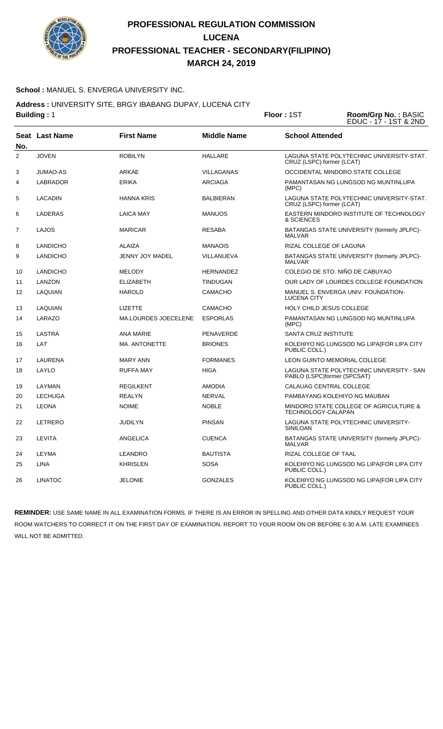

#### **School :** MANUEL S. ENVERGA UNIVERSITY INC.

Address : UNIVERSITY SITE, BRGY IBABANG DUPAY, LUCENA CITY<br>Building : 1

|                | <b>Building: 1</b> |                             |                    | Floor: 1ST                          | Room/Grp No.: BASIC<br>EDUC - 17 - 1ST & 2ND |
|----------------|--------------------|-----------------------------|--------------------|-------------------------------------|----------------------------------------------|
| No.            | Seat Last Name     | <b>First Name</b>           | <b>Middle Name</b> | <b>School Attended</b>              |                                              |
| 2              | <b>JOVEN</b>       | <b>ROBILYN</b>              | <b>HALLARE</b>     | CRUZ (LSPC) former (LCAT)           | LAGUNA STATE POLYTECHNIC UNIVERSITY-STAT.    |
| 3              | JUMAO-AS           | <b>ARKAE</b>                | VILLAGANAS         |                                     | OCCIDENTAL MINDORO STATE COLLEGE             |
| 4              | <b>LABRADOR</b>    | <b>ERIKA</b>                | <b>ARCIAGA</b>     | (MPC)                               | PAMANTASAN NG LUNGSOD NG MUNTINLUPA          |
| 5              | <b>LACADIN</b>     | <b>HANNA KRIS</b>           | <b>BALBIERAN</b>   | CRUZ (LSPC) former (LCAT)           | LAGUNA STATE POLYTECHNIC UNIVERSITY-STAT.    |
| 6              | LADERAS            | <b>LAICA MAY</b>            | <b>MANUOS</b>      | & SCIENCES                          | EASTERN MINDORO INSTITUTE OF TECHNOLOGY      |
| $\overline{7}$ | <b>LAJOS</b>       | <b>MARICAR</b>              | <b>RESABA</b>      | <b>MALVAR</b>                       | BATANGAS STATE UNIVERSITY (formerly JPLPC)-  |
| 8              | <b>LANDICHO</b>    | <b>ALAIZA</b>               | <b>MANAOIS</b>     | RIZAL COLLEGE OF LAGUNA             |                                              |
| 9              | <b>LANDICHO</b>    | JENNY JOY MADEL             | VILLANUEVA         | <b>MALVAR</b>                       | BATANGAS STATE UNIVERSITY (formerly JPLPC)-  |
| 10             | <b>LANDICHO</b>    | <b>MELODY</b>               | <b>HERNANDEZ</b>   |                                     | COLEGIO DE STO. NIÑO DE CABUYAO              |
| 11             | LANZON             | <b>ELIZABETH</b>            | <b>TINDUGAN</b>    |                                     | OUR LADY OF LOURDES COLLEGE FOUNDATION       |
| 12             | LAQUIAN            | <b>HAROLD</b>               | CAMACHO            | <b>LUCENA CITY</b>                  | MANUEL S. ENVERGA UNIV. FOUNDATION-          |
| 13             | LAQUIAN            | <b>LIZETTE</b>              | <b>CAMACHO</b>     | <b>HOLY CHILD JESUS COLLEGE</b>     |                                              |
| 14             | LARAZO             | <b>MA.LOURDES JOECELENE</b> | <b>ESPORLAS</b>    | (MPC)                               | PAMANTASAN NG LUNGSOD NG MUNTINLUPA          |
| 15             | <b>LASTRA</b>      | ANA MARIE                   | PENAVERDE          | <b>SANTA CRUZ INSTITUTE</b>         |                                              |
| 16             | LAT                | <b>MA. ANTONETTE</b>        | <b>BRIONES</b>     | PUBLIC COLL.)                       | KOLEHIYO NG LUNGSOD NG LIPA(FOR LIPA CITY    |
| 17             | LAURENA            | <b>MARY ANN</b>             | <b>FORMANES</b>    | <b>LEON GUINTO MEMORIAL COLLEGE</b> |                                              |
| 18             | LAYLO              | <b>RUFFA MAY</b>            | <b>HIGA</b>        | PABLO (LSPC)former (SPCSAT)         | LAGUNA STATE POLYTECHNIC UNIVERSITY - SAN    |
| 19             | LAYMAN             | <b>REGILKENT</b>            | <b>AMODIA</b>      | CALAUAG CENTRAL COLLEGE             |                                              |
| 20             | <b>LECHUGA</b>     | <b>REALYN</b>               | <b>NERVAL</b>      |                                     | PAMBAYANG KOLEHIYO NG MAUBAN                 |
| 21             | <b>LEONA</b>       | <b>NOIME</b>                | <b>NOBLE</b>       | TECHNOLOGY-CALAPAN                  | MINDORO STATE COLLEGE OF AGRICULTURE &       |
| 22             | LETRERO            | <b>JUDILYN</b>              | <b>PINSAN</b>      | <b>SINILOAN</b>                     | LAGUNA STATE POLYTECHNIC UNIVERSITY-         |
| 23             | <b>LEVITA</b>      | ANGELICA                    | <b>CUENCA</b>      | <b>MALVAR</b>                       | BATANGAS STATE UNIVERSITY (formerly JPLPC)-  |
| 24             | LEYMA              | LEANDRO                     | <b>BAUTISTA</b>    | RIZAL COLLEGE OF TAAL               |                                              |
| 25             | LINA               | <b>KHRISLEN</b>             | <b>SOSA</b>        | PUBLIC COLL.)                       | KOLEHIYO NG LUNGSOD NG LIPA(FOR LIPA CITY    |
| 26             | <b>LINATOC</b>     | <b>JELONIE</b>              | <b>GONZALES</b>    | PUBLIC COLL.)                       | KOLEHIYO NG LUNGSOD NG LIPA (FOR LIPA CITY   |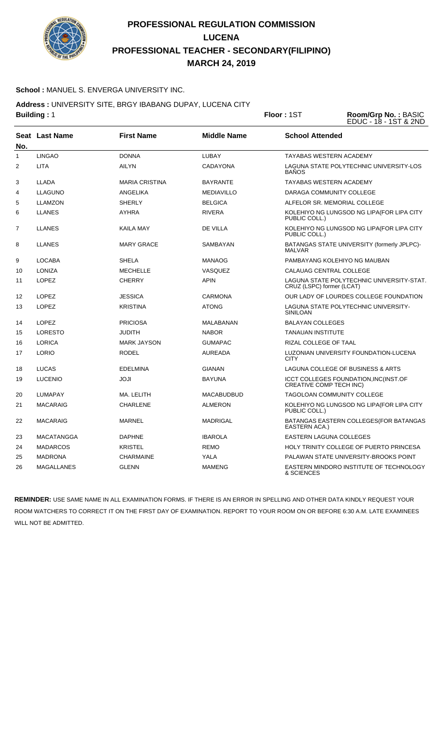

### **School :** MANUEL S. ENVERGA UNIVERSITY INC.

**Address :** UNIVERSITY SITE, BRGY IBABANG DUPAY, LUCENA CITY

|     | <b>Building: 1</b> |                       |                    | Floor: 1ST                     | Room/Grp No.: BASIC<br>EDUC - 18 - 1ST & 2ND |
|-----|--------------------|-----------------------|--------------------|--------------------------------|----------------------------------------------|
| No. | Seat Last Name     | <b>First Name</b>     | <b>Middle Name</b> | <b>School Attended</b>         |                                              |
| 1   | <b>LINGAO</b>      | <b>DONNA</b>          | <b>LUBAY</b>       |                                | <b>TAYABAS WESTERN ACADEMY</b>               |
| 2   | <b>LITA</b>        | <b>AILYN</b>          | CADAYONA           | <b>BAÑOS</b>                   | LAGUNA STATE POLYTECHNIC UNIVERSITY-LOS      |
| 3   | <b>LLADA</b>       | <b>MARIA CRISTINA</b> | <b>BAYRANTE</b>    |                                | <b>TAYABAS WESTERN ACADEMY</b>               |
| 4   | <b>LLAGUNO</b>     | ANGELIKA              | <b>MEDIAVILLO</b>  |                                | DARAGA COMMUNITY COLLEGE                     |
| 5   | <b>LLAMZON</b>     | <b>SHERLY</b>         | <b>BELGICA</b>     |                                | ALFELOR SR. MEMORIAL COLLEGE                 |
| 6   | <b>LLANES</b>      | <b>AYHRA</b>          | <b>RIVERA</b>      | PUBLIC COLL.)                  | KOLEHIYO NG LUNGSOD NG LIPA(FOR LIPA CITY    |
| 7   | <b>LLANES</b>      | <b>KAILA MAY</b>      | <b>DE VILLA</b>    | PUBLIC COLL.)                  | KOLEHIYO NG LUNGSOD NG LIPA(FOR LIPA CITY    |
| 8   | <b>LLANES</b>      | <b>MARY GRACE</b>     | <b>SAMBAYAN</b>    | <b>MALVAR</b>                  | BATANGAS STATE UNIVERSITY (formerly JPLPC)-  |
| 9   | <b>LOCABA</b>      | <b>SHELA</b>          | <b>MANAOG</b>      |                                | PAMBAYANG KOLEHIYO NG MAUBAN                 |
| 10  | <b>LONIZA</b>      | <b>MECHELLE</b>       | VASQUEZ            |                                | CALAUAG CENTRAL COLLEGE                      |
| 11  | <b>LOPEZ</b>       | <b>CHERRY</b>         | <b>APIN</b>        | CRUZ (LSPC) former (LCAT)      | LAGUNA STATE POLYTECHNIC UNIVERSITY-STAT.    |
| 12  | <b>LOPEZ</b>       | <b>JESSICA</b>        | <b>CARMONA</b>     |                                | OUR LADY OF LOURDES COLLEGE FOUNDATION       |
| 13  | <b>LOPEZ</b>       | <b>KRISTINA</b>       | <b>ATONG</b>       | <b>SINILOAN</b>                | LAGUNA STATE POLYTECHNIC UNIVERSITY-         |
| 14  | <b>LOPEZ</b>       | <b>PRICIOSA</b>       | MALABANAN          | <b>BALAYAN COLLEGES</b>        |                                              |
| 15  | <b>LORESTO</b>     | <b>JUDITH</b>         | <b>NABOR</b>       | TANAUAN INSTITUTE              |                                              |
| 16  | <b>LORICA</b>      | <b>MARK JAYSON</b>    | <b>GUMAPAC</b>     | RIZAL COLLEGE OF TAAL          |                                              |
| 17  | <b>LORIO</b>       | <b>RODEL</b>          | <b>AUREADA</b>     | <b>CITY</b>                    | LUZONIAN UNIVERSITY FOUNDATION-LUCENA        |
| 18  | LUCAS              | <b>EDELMINA</b>       | <b>GIANAN</b>      |                                | LAGUNA COLLEGE OF BUSINESS & ARTS            |
| 19  | <b>LUCENIO</b>     | <b>JOJI</b>           | <b>BAYUNA</b>      | <b>CREATIVE COMP TECH INC)</b> | ICCT COLLEGES FOUNDATION, INC(INST.OF        |
| 20  | <b>LUMAPAY</b>     | MA. LELITH            | <b>MACABUDBUD</b>  |                                | TAGOLOAN COMMUNITY COLLEGE                   |
| 21  | <b>MACARAIG</b>    | <b>CHARLENE</b>       | <b>ALMERON</b>     | PUBLIC COLL.)                  | KOLEHIYO NG LUNGSOD NG LIPA(FOR LIPA CITY    |
| 22  | <b>MACARAIG</b>    | <b>MARNEL</b>         | <b>MADRIGAL</b>    | EASTERN ACA.)                  | BATANGAS EASTERN COLLEGES(FOR BATANGAS       |
| 23  | <b>MACATANGGA</b>  | <b>DAPHNE</b>         | <b>IBAROLA</b>     |                                | <b>EASTERN LAGUNA COLLEGES</b>               |
| 24  | <b>MADARCOS</b>    | <b>KRISTEL</b>        | <b>REMO</b>        |                                | HOLY TRINITY COLLEGE OF PUERTO PRINCESA      |
| 25  | <b>MADRONA</b>     | CHARMAINE             | YALA               |                                | PALAWAN STATE UNIVERSITY-BROOKS POINT        |
| 26  | <b>MAGALLANES</b>  | <b>GLENN</b>          | <b>MAMENG</b>      | & SCIENCES                     | EASTERN MINDORO INSTITUTE OF TECHNOLOGY      |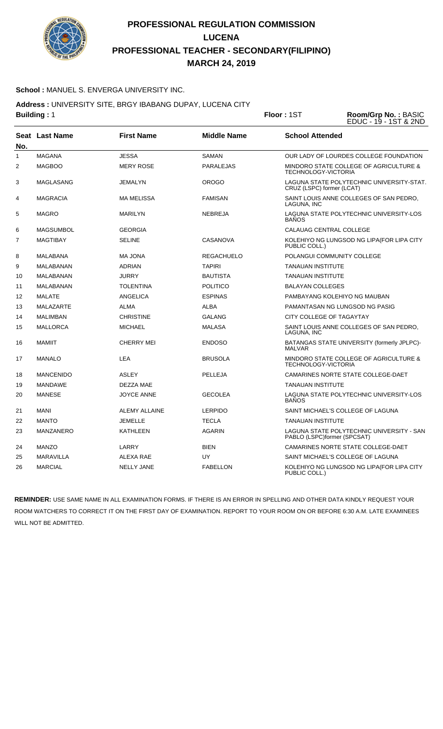

### **School :** MANUEL S. ENVERGA UNIVERSITY INC.

**Address :** UNIVERSITY SITE, BRGY IBABANG DUPAY, LUCENA CITY

| <b>Building: 1</b> |                  | Floor: 1ST           | Room/Grp No.: BASIC<br>EDUC - 19 - 1ST & 2ND |                             |                                             |
|--------------------|------------------|----------------------|----------------------------------------------|-----------------------------|---------------------------------------------|
| No.                | Seat Last Name   | <b>First Name</b>    | <b>Middle Name</b>                           | <b>School Attended</b>      |                                             |
| 1                  | <b>MAGANA</b>    | <b>JESSA</b>         | <b>SAMAN</b>                                 |                             | OUR LADY OF LOURDES COLLEGE FOUNDATION      |
| 2                  | <b>MAGBOO</b>    | <b>MERY ROSE</b>     | PARALEJAS                                    | <b>TECHNOLOGY-VICTORIA</b>  | MINDORO STATE COLLEGE OF AGRICULTURE &      |
| 3                  | <b>MAGLASANG</b> | <b>JEMALYN</b>       | <b>OROGO</b>                                 | CRUZ (LSPC) former (LCAT)   | LAGUNA STATE POLYTECHNIC UNIVERSITY-STAT.   |
| 4                  | <b>MAGRACIA</b>  | <b>MA MELISSA</b>    | <b>FAMISAN</b>                               | LAGUNA, INC                 | SAINT LOUIS ANNE COLLEGES OF SAN PEDRO.     |
| 5                  | <b>MAGRO</b>     | <b>MARILYN</b>       | <b>NEBREJA</b>                               | <b>BAÑOS</b>                | LAGUNA STATE POLYTECHNIC UNIVERSITY-LOS     |
| 6                  | <b>MAGSUMBOL</b> | <b>GEORGIA</b>       |                                              | CALAUAG CENTRAL COLLEGE     |                                             |
| $\overline{7}$     | <b>MAGTIBAY</b>  | <b>SELINE</b>        | <b>CASANOVA</b>                              | PUBLIC COLL.)               | KOLEHIYO NG LUNGSOD NG LIPA(FOR LIPA CITY   |
| 8                  | MALABANA         | <b>MA JONA</b>       | <b>REGACHUELO</b>                            |                             | POLANGUI COMMUNITY COLLEGE                  |
| 9                  | MALABANAN        | <b>ADRIAN</b>        | <b>TAPIRI</b>                                | <b>TANAUAN INSTITUTE</b>    |                                             |
| 10                 | MALABANAN        | <b>JURRY</b>         | <b>BAUTISTA</b>                              | <b>TANAUAN INSTITUTE</b>    |                                             |
| 11                 | MALABANAN        | <b>TOLENTINA</b>     | <b>POLITICO</b>                              | <b>BALAYAN COLLEGES</b>     |                                             |
| 12                 | <b>MALATE</b>    | <b>ANGELICA</b>      | <b>ESPINAS</b>                               |                             | PAMBAYANG KOLEHIYO NG MAUBAN                |
| 13                 | <b>MALAZARTE</b> | <b>ALMA</b>          | <b>ALBA</b>                                  |                             | PAMANTASAN NG LUNGSOD NG PASIG              |
| 14                 | <b>MALIMBAN</b>  | <b>CHRISTINE</b>     | <b>GALANG</b>                                | CITY COLLEGE OF TAGAYTAY    |                                             |
| 15                 | <b>MALLORCA</b>  | <b>MICHAEL</b>       | <b>MALASA</b>                                | LAGUNA, INC                 | SAINT LOUIS ANNE COLLEGES OF SAN PEDRO.     |
| 16                 | <b>MAMIIT</b>    | <b>CHERRY MEI</b>    | <b>ENDOSO</b>                                | <b>MALVAR</b>               | BATANGAS STATE UNIVERSITY (formerly JPLPC)- |
| 17                 | <b>MANALO</b>    | <b>LEA</b>           | <b>BRUSOLA</b>                               | TECHNOLOGY-VICTORIA         | MINDORO STATE COLLEGE OF AGRICULTURE &      |
| 18                 | <b>MANCENIDO</b> | <b>ASLEY</b>         | PELLEJA                                      |                             | CAMARINES NORTE STATE COLLEGE-DAET          |
| 19                 | <b>MANDAWE</b>   | DEZZA MAE            |                                              | <b>TANAUAN INSTITUTE</b>    |                                             |
| 20                 | <b>MANESE</b>    | <b>JOYCE ANNE</b>    | <b>GECOLEA</b>                               | <b>BAÑOS</b>                | LAGUNA STATE POLYTECHNIC UNIVERSITY-LOS     |
| 21                 | <b>MANI</b>      | <b>ALEMY ALLAINE</b> | <b>LERPIDO</b>                               |                             | SAINT MICHAEL'S COLLEGE OF LAGUNA           |
| 22                 | <b>MANTO</b>     | <b>JEMELLE</b>       | <b>TECLA</b>                                 | <b>TANAUAN INSTITUTE</b>    |                                             |
| 23                 | MANZANERO        | KATHLEEN             | <b>AGARIN</b>                                | PABLO (LSPC)former (SPCSAT) | LAGUNA STATE POLYTECHNIC UNIVERSITY - SAN   |
| 24                 | <b>MANZO</b>     | LARRY                | <b>BIEN</b>                                  |                             | CAMARINES NORTE STATE COLLEGE-DAET          |
| 25                 | <b>MARAVILLA</b> | <b>ALEXA RAE</b>     | <b>UY</b>                                    |                             | SAINT MICHAEL'S COLLEGE OF LAGUNA           |
| 26                 | <b>MARCIAL</b>   | <b>NELLY JANE</b>    | <b>FABELLON</b>                              | PUBLIC COLL.)               | KOLEHIYO NG LUNGSOD NG LIPA(FOR LIPA CITY   |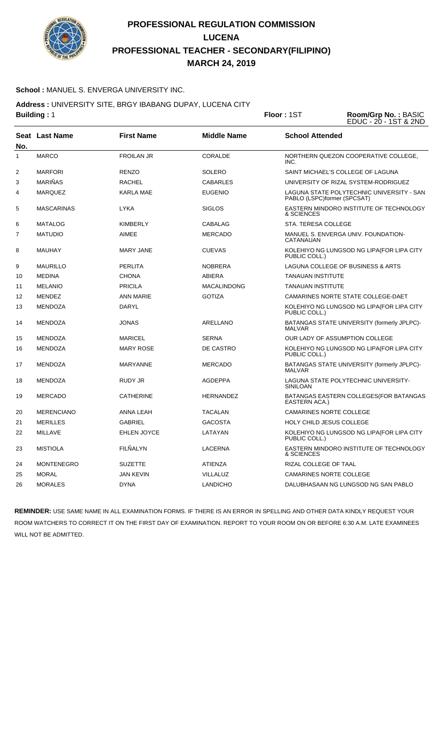

### **School :** MANUEL S. ENVERGA UNIVERSITY INC.

**Address :** UNIVERSITY SITE, BRGY IBABANG DUPAY, LUCENA CITY

|     | <b>Building: 1</b>    |                    |                    | Floor: 1ST               | Room/Grp No.: BASIC<br>EDUC - 20 - 1ST & 2ND                             |
|-----|-----------------------|--------------------|--------------------|--------------------------|--------------------------------------------------------------------------|
| No. | <b>Seat Last Name</b> | <b>First Name</b>  | <b>Middle Name</b> | <b>School Attended</b>   |                                                                          |
| 1   | <b>MARCO</b>          | <b>FROILAN JR</b>  | <b>CORALDE</b>     | INC.                     | NORTHERN QUEZON COOPERATIVE COLLEGE,                                     |
| 2   | <b>MARFORI</b>        | <b>RENZO</b>       | <b>SOLERO</b>      |                          | SAINT MICHAEL'S COLLEGE OF LAGUNA                                        |
| 3   | <b>MARIÑAS</b>        | <b>RACHEL</b>      | <b>CABARLES</b>    |                          | UNIVERSITY OF RIZAL SYSTEM-RODRIGUEZ                                     |
| 4   | <b>MARQUEZ</b>        | <b>KARLA MAE</b>   | <b>EUGENIO</b>     |                          | LAGUNA STATE POLYTECHNIC UNIVERSITY - SAN<br>PABLO (LSPC)former (SPCSAT) |
| 5   | <b>MASCARINAS</b>     | <b>LYKA</b>        | <b>SIGLOS</b>      | & SCIENCES               | EASTERN MINDORO INSTITUTE OF TECHNOLOGY                                  |
| 6   | <b>MATALOG</b>        | KIMBERLY           | <b>CABALAG</b>     | STA. TERESA COLLEGE      |                                                                          |
| 7   | <b>MATUDIO</b>        | <b>AIMEE</b>       | <b>MERCADO</b>     | CATANAUAN                | MANUEL S. ENVERGA UNIV. FOUNDATION-                                      |
| 8   | MAUHAY                | <b>MARY JANE</b>   | <b>CUEVAS</b>      | PUBLIC COLL.)            | KOLEHIYO NG LUNGSOD NG LIPA (FOR LIPA CITY                               |
| 9   | <b>MAURILLO</b>       | <b>PERLITA</b>     | <b>NOBRERA</b>     |                          | LAGUNA COLLEGE OF BUSINESS & ARTS                                        |
| 10  | <b>MEDINA</b>         | <b>CHONA</b>       | <b>ABIERA</b>      | <b>TANAUAN INSTITUTE</b> |                                                                          |
| 11  | <b>MELANIO</b>        | <b>PRICILA</b>     | <b>MACALINDONG</b> | <b>TANAUAN INSTITUTE</b> |                                                                          |
| 12  | <b>MENDEZ</b>         | <b>ANN MARIE</b>   | <b>GOTIZA</b>      |                          | CAMARINES NORTE STATE COLLEGE-DAET                                       |
| 13  | MENDOZA               | DARYL              |                    | PUBLIC COLL.)            | KOLEHIYO NG LUNGSOD NG LIPA(FOR LIPA CITY                                |
| 14  | <b>MENDOZA</b>        | <b>JONAS</b>       | ARELLANO           | <b>MALVAR</b>            | BATANGAS STATE UNIVERSITY (formerly JPLPC)-                              |
| 15  | <b>MENDOZA</b>        | <b>MARICEL</b>     | <b>SERNA</b>       |                          | OUR LADY OF ASSUMPTION COLLEGE                                           |
| 16  | <b>MENDOZA</b>        | <b>MARY ROSE</b>   | DE CASTRO          | PUBLIC COLL.)            | KOLEHIYO NG LUNGSOD NG LIPA(FOR LIPA CITY                                |
| 17  | <b>MENDOZA</b>        | <b>MARYANNE</b>    | <b>MERCADO</b>     | <b>MALVAR</b>            | BATANGAS STATE UNIVERSITY (formerly JPLPC)-                              |
| 18  | MENDOZA               | RUDY JR            | <b>AGDEPPA</b>     | <b>SINILOAN</b>          | LAGUNA STATE POLYTECHNIC UNIVERSITY-                                     |
| 19  | <b>MERCADO</b>        | <b>CATHERINE</b>   | <b>HERNANDEZ</b>   | EASTERN ACA.)            | BATANGAS EASTERN COLLEGES (FOR BATANGAS                                  |
| 20  | <b>MERENCIANO</b>     | <b>ANNA LEAH</b>   | <b>TACALAN</b>     |                          | <b>CAMARINES NORTE COLLEGE</b>                                           |
| 21  | <b>MERILLES</b>       | <b>GABRIEL</b>     | <b>GACOSTA</b>     |                          | <b>HOLY CHILD JESUS COLLEGE</b>                                          |
| 22  | MILLAVE               | <b>EHLEN JOYCE</b> | LATAYAN            | PUBLIC COLL.)            | KOLEHIYO NG LUNGSOD NG LIPA (FOR LIPA CITY                               |
| 23  | <b>MISTIOLA</b>       | <b>FILÑALYN</b>    | LACERNA            | & SCIENCES               | EASTERN MINDORO INSTITUTE OF TECHNOLOGY                                  |
| 24  | <b>MONTENEGRO</b>     | <b>SUZETTE</b>     | ATIENZA            | RIZAL COLLEGE OF TAAL    |                                                                          |
| 25  | <b>MORAL</b>          | <b>JAN KEVIN</b>   | <b>VILLALUZ</b>    |                          | <b>CAMARINES NORTE COLLEGE</b>                                           |
| 26  | <b>MORALES</b>        | DYNA               | LANDICHO           |                          | DALUBHASAAN NG LUNGSOD NG SAN PABLO                                      |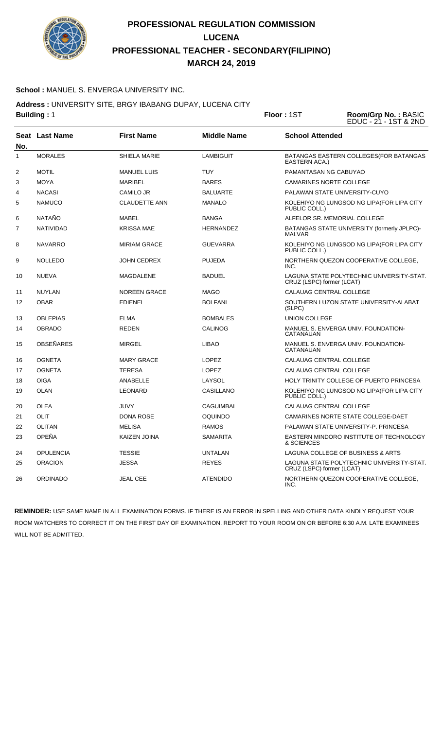

### **School :** MANUEL S. ENVERGA UNIVERSITY INC.

**Address :** UNIVERSITY SITE, BRGY IBABANG DUPAY, LUCENA CITY

|                | <b>Building: 1</b> |                      |                    | Floor: 1ST                | Room/Grp No.: BASIC<br>EDUC - 21 - 1ST & 2ND |
|----------------|--------------------|----------------------|--------------------|---------------------------|----------------------------------------------|
| No.            | Seat Last Name     | <b>First Name</b>    | <b>Middle Name</b> | <b>School Attended</b>    |                                              |
| $\mathbf{1}$   | <b>MORALES</b>     | SHIELA MARIE         | <b>LAMBIGUIT</b>   | EASTERN ACA.)             | BATANGAS EASTERN COLLEGES (FOR BATANGAS      |
| $\overline{2}$ | <b>MOTIL</b>       | <b>MANUEL LUIS</b>   | <b>TUY</b>         | PAMANTASAN NG CABUYAO     |                                              |
| 3              | <b>MOYA</b>        | <b>MARIBEL</b>       | <b>BARES</b>       |                           | <b>CAMARINES NORTE COLLEGE</b>               |
| 4              | <b>NACASI</b>      | CAMILO JR            | <b>BALUARTE</b>    |                           | PALAWAN STATE UNIVERSITY-CUYO                |
| 5              | <b>NAMUCO</b>      | <b>CLAUDETTE ANN</b> | <b>MANALO</b>      | PUBLIC COLL.)             | KOLEHIYO NG LUNGSOD NG LIPA(FOR LIPA CITY    |
| 6              | <b>NATAÑO</b>      | MABEL                | <b>BANGA</b>       |                           | ALFELOR SR. MEMORIAL COLLEGE                 |
| $\overline{7}$ | <b>NATIVIDAD</b>   | <b>KRISSA MAE</b>    | <b>HERNANDEZ</b>   | <b>MALVAR</b>             | BATANGAS STATE UNIVERSITY (formerly JPLPC)-  |
| 8              | <b>NAVARRO</b>     | <b>MIRIAM GRACE</b>  | <b>GUEVARRA</b>    | PUBLIC COLL.)             | KOLEHIYO NG LUNGSOD NG LIPA(FOR LIPA CITY    |
| 9              | <b>NOLLEDO</b>     | <b>JOHN CEDREX</b>   | <b>PUJEDA</b>      | INC.                      | NORTHERN QUEZON COOPERATIVE COLLEGE,         |
| 10             | <b>NUEVA</b>       | <b>MAGDALENE</b>     | <b>BADUEL</b>      | CRUZ (LSPC) former (LCAT) | LAGUNA STATE POLYTECHNIC UNIVERSITY-STAT.    |
| 11             | <b>NUYLAN</b>      | <b>NOREEN GRACE</b>  | <b>MAGO</b>        |                           | CALAUAG CENTRAL COLLEGE                      |
| 12             | OBAR               | <b>EDIENEL</b>       | <b>BOLFANI</b>     | (SLPC)                    | SOUTHERN LUZON STATE UNIVERSITY-ALABAT       |
| 13             | <b>OBLEPIAS</b>    | <b>ELMA</b>          | <b>BOMBALES</b>    | <b>UNION COLLEGE</b>      |                                              |
| 14             | <b>OBRADO</b>      | <b>REDEN</b>         | <b>CALINOG</b>     | CATANAUAN                 | MANUEL S. ENVERGA UNIV. FOUNDATION-          |
| 15             | OBSEÑARES          | <b>MIRGEL</b>        | <b>LIBAO</b>       | CATANAUAN                 | MANUEL S. ENVERGA UNIV. FOUNDATION-          |
| 16             | <b>OGNETA</b>      | <b>MARY GRACE</b>    | LOPEZ              |                           | CALAUAG CENTRAL COLLEGE                      |
| 17             | <b>OGNETA</b>      | <b>TERESA</b>        | <b>LOPEZ</b>       |                           | CALAUAG CENTRAL COLLEGE                      |
| 18             | <b>OIGA</b>        | <b>ANABELLE</b>      | LAYSOL             |                           | HOLY TRINITY COLLEGE OF PUERTO PRINCESA      |
| 19             | OLAN               | LEONARD              | CASILLANO          | PUBLIC COLL.)             | KOLEHIYO NG LUNGSOD NG LIPA(FOR LIPA CITY    |
| 20             | <b>OLEA</b>        | <b>JUVY</b>          | CAGUIMBAL          |                           | CALAUAG CENTRAL COLLEGE                      |
| 21             | OLIT               | <b>DONA ROSE</b>     | <b>OQUINDO</b>     |                           | CAMARINES NORTE STATE COLLEGE-DAET           |
| 22             | <b>OLITAN</b>      | <b>MELISA</b>        | <b>RAMOS</b>       |                           | PALAWAN STATE UNIVERSITY-P. PRINCESA         |
| 23             | OPEÑA              | KAIZEN JOINA         | <b>SAMARITA</b>    | & SCIENCES                | EASTERN MINDORO INSTITUTE OF TECHNOLOGY      |
| 24             | <b>OPULENCIA</b>   | <b>TESSIE</b>        | <b>UNTALAN</b>     |                           | LAGUNA COLLEGE OF BUSINESS & ARTS            |
| 25             | <b>ORACION</b>     | <b>JESSA</b>         | <b>REYES</b>       | CRUZ (LSPC) former (LCAT) | LAGUNA STATE POLYTECHNIC UNIVERSITY-STAT.    |
| 26             | <b>ORDINADO</b>    | <b>JEAL CEE</b>      | <b>ATENDIDO</b>    | INC.                      | NORTHERN QUEZON COOPERATIVE COLLEGE,         |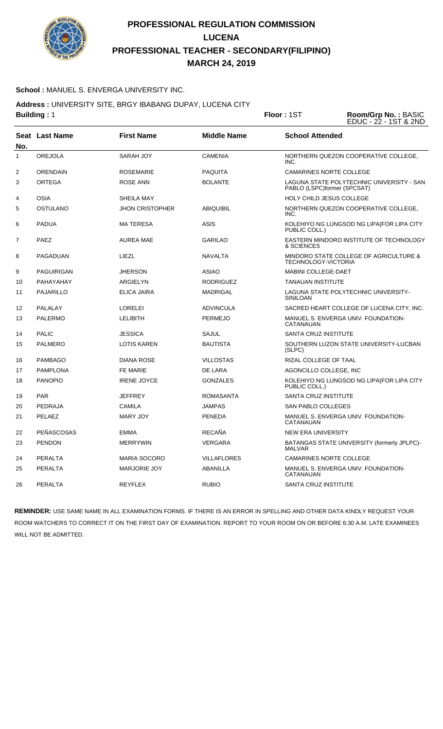

#### **School :** MANUEL S. ENVERGA UNIVERSITY INC.

**Address :** UNIVERSITY SITE, BRGY IBABANG DUPAY, LUCENA CITY

|     | <b>Building: 1</b> |                        | Floor: 1ST         | Room/Grp No.: BASIC<br>EDUC - 22 - 1ST & 2ND |                                             |
|-----|--------------------|------------------------|--------------------|----------------------------------------------|---------------------------------------------|
| No. | Seat Last Name     | <b>First Name</b>      | <b>Middle Name</b> | <b>School Attended</b>                       |                                             |
| 1   | <b>OREJOLA</b>     | SARAH JOY              | <b>CAMENIA</b>     | INC.                                         | NORTHERN QUEZON COOPERATIVE COLLEGE.        |
| 2   | <b>ORENDAIN</b>    | <b>ROSEMARIE</b>       | PAQUITA            | <b>CAMARINES NORTE COLLEGE</b>               |                                             |
| 3   | <b>ORTEGA</b>      | <b>ROSE ANN</b>        | <b>BOLANTE</b>     | PABLO (LSPC)former (SPCSAT)                  | LAGUNA STATE POLYTECHNIC UNIVERSITY - SAN   |
| 4   | <b>OSIA</b>        | SHEILA MAY             |                    | HOLY CHILD JESUS COLLEGE                     |                                             |
| 5   | <b>OSTULANO</b>    | <b>JHON CRISTOPHER</b> | <b>ABIQUIBIL</b>   | INC.                                         | NORTHERN QUEZON COOPERATIVE COLLEGE,        |
| 6   | <b>PADUA</b>       | <b>MA TERESA</b>       | <b>ASIS</b>        | PUBLIC COLL.)                                | KOLEHIYO NG LUNGSOD NG LIPA(FOR LIPA CITY   |
| 7   | <b>PAEZ</b>        | <b>AUREA MAE</b>       | <b>GARILAO</b>     | & SCIENCES                                   | EASTERN MINDORO INSTITUTE OF TECHNOLOGY     |
| 8   | PAGADUAN           | LIEZL                  | <b>NAVALTA</b>     | <b>TECHNOLOGY-VICTORIA</b>                   | MINDORO STATE COLLEGE OF AGRICULTURE &      |
| 9   | PAGUIRIGAN         | <b>JHERSON</b>         | <b>ASIAO</b>       | MABINI COLLEGE-DAET                          |                                             |
| 10  | PAHAYAHAY          | ARGIELYN               | <b>RODRIGUEZ</b>   | <b>TANAUAN INSTITUTE</b>                     |                                             |
| 11  | <b>PAJARILLO</b>   | <b>ELICA JAIRA</b>     | <b>MADRIGAL</b>    | SINILOAN                                     | LAGUNA STATE POLYTECHNIC UNIVERSITY-        |
| 12  | PALALAY            | <b>LORELEI</b>         | <b>ADVINCULA</b>   |                                              | SACRED HEART COLLEGE OF LUCENA CITY, INC.   |
| 13  | <b>PALERMO</b>     | <b>LELIBITH</b>        | <b>PERMEJO</b>     | CATANAUAN                                    | MANUEL S. ENVERGA UNIV. FOUNDATION-         |
| 14  | <b>PALIC</b>       | <b>JESSICA</b>         | SAJUL              | SANTA CRUZ INSTITUTE                         |                                             |
| 15  | <b>PALMERO</b>     | <b>LOTIS KAREN</b>     | <b>BAUTISTA</b>    | (SLPC)                                       | SOUTHERN LUZON STATE UNIVERSITY-LUCBAN      |
| 16  | <b>PAMBAGO</b>     | <b>DIANA ROSE</b>      | VILLOSTAS          | RIZAL COLLEGE OF TAAL                        |                                             |
| 17  | <b>PAMPLONA</b>    | FE MARIE               | DE LARA            | AGONCILLO COLLEGE, INC                       |                                             |
| 18  | <b>PANOPIO</b>     | <b>IRENE JOYCE</b>     | <b>GONZALES</b>    | PUBLIC COLL.)                                | KOLEHIYO NG LUNGSOD NG LIPA(FOR LIPA CITY   |
| 19  | <b>PAR</b>         | <b>JEFFREY</b>         | <b>ROMASANTA</b>   | <b>SANTA CRUZ INSTITUTE</b>                  |                                             |
| 20  | PEDRAJA            | <b>CAMILA</b>          | JAMPAS             | SAN PABLO COLLEGES                           |                                             |
| 21  | PELAEZ             | <b>MARY JOY</b>        | PENEDA             | CATANAUAN                                    | MANUEL S. ENVERGA UNIV. FOUNDATION-         |
| 22  | PEÑASCOSAS         | <b>EMMA</b>            | <b>RECAÑA</b>      | <b>NEW ERA UNIVERSITY</b>                    |                                             |
| 23  | <b>PENDON</b>      | <b>MERRYWIN</b>        | VERGARA            | <b>MALVAR</b>                                | BATANGAS STATE UNIVERSITY (formerly JPLPC)- |
| 24  | <b>PERALTA</b>     | <b>MARIA SOCORO</b>    | VILLAFLORES        | <b>CAMARINES NORTE COLLEGE</b>               |                                             |
| 25  | PERALTA            | MARJORIE JOY           | <b>ABANILLA</b>    | CATANAUAN                                    | MANUEL S. ENVERGA UNIV. FOUNDATION-         |
| 26  | <b>PERALTA</b>     | <b>REYFLEX</b>         | <b>RUBIO</b>       | SANTA CRUZ INSTITUTE                         |                                             |
|     |                    |                        |                    |                                              |                                             |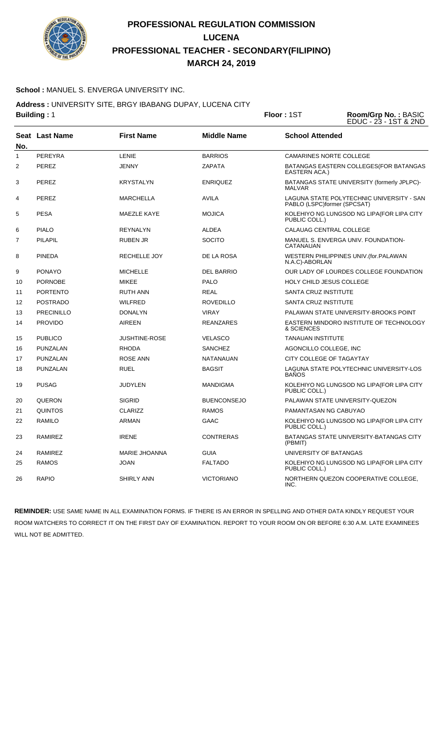

### **School :** MANUEL S. ENVERGA UNIVERSITY INC.

**Address :** UNIVERSITY SITE, BRGY IBABANG DUPAY, LUCENA CITY

| <b>Building: 1</b><br>Floor: 1ST |                   |                      |                    | Room/Grp No.: BASIC<br>EDUC - 23 - 1ST & 2ND |                                                                          |
|----------------------------------|-------------------|----------------------|--------------------|----------------------------------------------|--------------------------------------------------------------------------|
| No.                              | Seat Last Name    | <b>First Name</b>    | <b>Middle Name</b> | <b>School Attended</b>                       |                                                                          |
| $\mathbf{1}$                     | <b>PEREYRA</b>    | <b>LENIE</b>         | <b>BARRIOS</b>     |                                              | <b>CAMARINES NORTE COLLEGE</b>                                           |
| 2                                | PEREZ             | JENNY                | <b>ZAPATA</b>      | EASTERN ACA.)                                | BATANGAS EASTERN COLLEGES (FOR BATANGAS                                  |
| 3                                | <b>PEREZ</b>      | <b>KRYSTALYN</b>     | <b>ENRIQUEZ</b>    | <b>MALVAR</b>                                | BATANGAS STATE UNIVERSITY (formerly JPLPC)-                              |
| 4                                | <b>PEREZ</b>      | <b>MARCHELLA</b>     | <b>AVILA</b>       |                                              | LAGUNA STATE POLYTECHNIC UNIVERSITY - SAN<br>PABLO (LSPC)former (SPCSAT) |
| 5                                | <b>PESA</b>       | <b>MAEZLE KAYE</b>   | <b>MOJICA</b>      | PUBLIC COLL.)                                | KOLEHIYO NG LUNGSOD NG LIPA (FOR LIPA CITY                               |
| 6                                | <b>PIALO</b>      | <b>REYNALYN</b>      | <b>ALDEA</b>       |                                              | CALAUAG CENTRAL COLLEGE                                                  |
| $\overline{7}$                   | <b>PILAPIL</b>    | <b>RUBEN JR</b>      | <b>SOCITO</b>      | CATANAUAN                                    | MANUEL S. ENVERGA UNIV. FOUNDATION-                                      |
| 8                                | <b>PINEDA</b>     | <b>RECHELLE JOY</b>  | DE LA ROSA         | N.A.C)-ABORLAN                               | WESTERN PHILIPPINES UNIV. (for. PALAWAN                                  |
| 9                                | <b>PONAYO</b>     | <b>MICHELLE</b>      | <b>DEL BARRIO</b>  |                                              | OUR LADY OF LOURDES COLLEGE FOUNDATION                                   |
| 10                               | <b>PORNOBE</b>    | <b>MIKEE</b>         | <b>PALO</b>        | <b>HOLY CHILD JESUS COLLEGE</b>              |                                                                          |
| 11                               | <b>PORTENTO</b>   | <b>RUTH ANN</b>      | <b>REAL</b>        | SANTA CRUZ INSTITUTE                         |                                                                          |
| 12                               | <b>POSTRADO</b>   | <b>WILFRED</b>       | <b>ROVEDILLO</b>   | SANTA CRUZ INSTITUTE                         |                                                                          |
| 13                               | <b>PRECINILLO</b> | <b>DONALYN</b>       | <b>VIRAY</b>       |                                              | PALAWAN STATE UNIVERSITY-BROOKS POINT                                    |
| 14                               | <b>PROVIDO</b>    | <b>AIREEN</b>        | <b>REANZARES</b>   | & SCIENCES                                   | EASTERN MINDORO INSTITUTE OF TECHNOLOGY                                  |
| 15                               | <b>PUBLICO</b>    | <b>JUSHTINE-ROSE</b> | <b>VELASCO</b>     | <b>TANAUAN INSTITUTE</b>                     |                                                                          |
| 16                               | <b>PUNZALAN</b>   | <b>RHODA</b>         | <b>SANCHEZ</b>     | AGONCILLO COLLEGE, INC                       |                                                                          |
| 17                               | PUNZALAN          | <b>ROSE ANN</b>      | NATANAUAN          | CITY COLLEGE OF TAGAYTAY                     |                                                                          |
| 18                               | PUNZALAN          | <b>RUEL</b>          | <b>BAGSIT</b>      | <b>BAÑOS</b>                                 | LAGUNA STATE POLYTECHNIC UNIVERSITY-LOS                                  |
| 19                               | <b>PUSAG</b>      | <b>JUDYLEN</b>       | <b>MANDIGMA</b>    | PUBLIC COLL.)                                | KOLEHIYO NG LUNGSOD NG LIPA(FOR LIPA CITY                                |
| 20                               | QUERON            | <b>SIGRID</b>        | <b>BUENCONSEJO</b> |                                              | PALAWAN STATE UNIVERSITY-QUEZON                                          |
| 21                               | <b>QUINTOS</b>    | <b>CLARIZZ</b>       | <b>RAMOS</b>       | PAMANTASAN NG CABUYAO                        |                                                                          |
| 22                               | <b>RAMILO</b>     | <b>ARMAN</b>         | <b>GAAC</b>        | PUBLIC COLL.)                                | KOLEHIYO NG LUNGSOD NG LIPA(FOR LIPA CITY                                |
| 23                               | <b>RAMIREZ</b>    | <b>IRENE</b>         | <b>CONTRERAS</b>   | (PBMIT)                                      | BATANGAS STATE UNIVERSITY-BATANGAS CITY                                  |
| 24                               | <b>RAMIREZ</b>    | <b>MARIE JHOANNA</b> | <b>GUIA</b>        | UNIVERSITY OF BATANGAS                       |                                                                          |
| 25                               | <b>RAMOS</b>      | <b>JOAN</b>          | <b>FALTADO</b>     | PUBLIC COLL.)                                | KOLEHIYO NG LUNGSOD NG LIPA(FOR LIPA CITY                                |
| 26                               | <b>RAPIO</b>      | <b>SHIRLY ANN</b>    | <b>VICTORIANO</b>  | INC.                                         | NORTHERN QUEZON COOPERATIVE COLLEGE.                                     |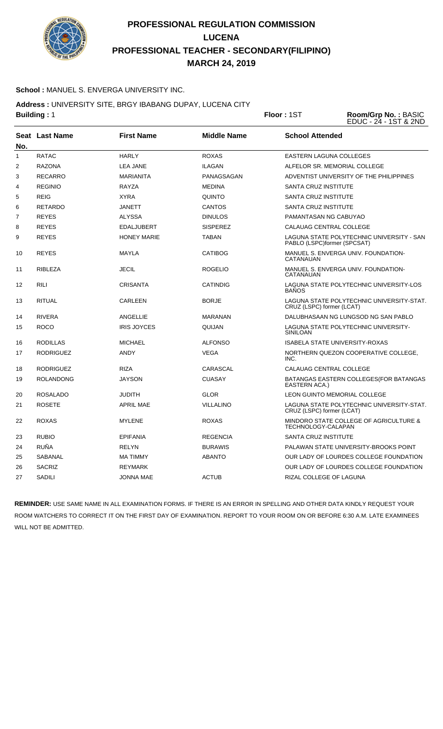

### **School :** MANUEL S. ENVERGA UNIVERSITY INC.

**Address :** UNIVERSITY SITE, BRGY IBABANG DUPAY, LUCENA CITY

| <b>Building: 1</b> |                  |                    | Floor: 1ST         | Room/Grp No.: BASIC<br>EDUC - 24 - 1ST & 2ND |                                           |
|--------------------|------------------|--------------------|--------------------|----------------------------------------------|-------------------------------------------|
| No.                | Seat Last Name   | <b>First Name</b>  | <b>Middle Name</b> | <b>School Attended</b>                       |                                           |
| 1                  | <b>RATAC</b>     | <b>HARLY</b>       | <b>ROXAS</b>       |                                              | <b>EASTERN LAGUNA COLLEGES</b>            |
| 2                  | <b>RAZONA</b>    | <b>LEA JANE</b>    | <b>ILAGAN</b>      |                                              | ALFELOR SR. MEMORIAL COLLEGE              |
| 3                  | <b>RECARRO</b>   | <b>MARIANITA</b>   | PANAGSAGAN         |                                              | ADVENTIST UNIVERSITY OF THE PHILIPPINES   |
| 4                  | <b>REGINIO</b>   | <b>RAYZA</b>       | <b>MEDINA</b>      | SANTA CRUZ INSTITUTE                         |                                           |
| 5                  | <b>REIG</b>      | <b>XYRA</b>        | <b>QUINTO</b>      | SANTA CRUZ INSTITUTE                         |                                           |
| 6                  | <b>RETARDO</b>   | <b>JANETT</b>      | <b>CANTOS</b>      | SANTA CRUZ INSTITUTE                         |                                           |
| $\overline{7}$     | <b>REYES</b>     | <b>ALYSSA</b>      | <b>DINULOS</b>     | PAMANTASAN NG CABUYAO                        |                                           |
| 8                  | <b>REYES</b>     | <b>EDALJUBERT</b>  | <b>SISPEREZ</b>    | CALAUAG CENTRAL COLLEGE                      |                                           |
| 9                  | <b>REYES</b>     | <b>HONEY MARIE</b> | <b>TABAN</b>       | PABLO (LSPC)former (SPCSAT)                  | LAGUNA STATE POLYTECHNIC UNIVERSITY - SAN |
| 10                 | <b>REYES</b>     | <b>MAYLA</b>       | <b>CATIBOG</b>     | CATANAUAN                                    | MANUEL S. ENVERGA UNIV. FOUNDATION-       |
| 11                 | <b>RIBLEZA</b>   | <b>JECIL</b>       | <b>ROGELIO</b>     | CATANAUAN                                    | MANUEL S. ENVERGA UNIV. FOUNDATION-       |
| 12                 | <b>RILI</b>      | <b>CRISANTA</b>    | <b>CATINDIG</b>    | <b>BAÑOS</b>                                 | LAGUNA STATE POLYTECHNIC UNIVERSITY-LOS   |
| 13                 | <b>RITUAL</b>    | <b>CARLEEN</b>     | <b>BORJE</b>       | CRUZ (LSPC) former (LCAT)                    | LAGUNA STATE POLYTECHNIC UNIVERSITY-STAT. |
| 14                 | <b>RIVERA</b>    | <b>ANGELLIE</b>    | <b>MARANAN</b>     |                                              | DALUBHASAAN NG LUNGSOD NG SAN PABLO       |
| 15                 | <b>ROCO</b>      | <b>IRIS JOYCES</b> | QUIJAN             | SINILOAN                                     | LAGUNA STATE POLYTECHNIC UNIVERSITY-      |
| 16                 | <b>RODILLAS</b>  | <b>MICHAEL</b>     | <b>ALFONSO</b>     |                                              | <b>ISABELA STATE UNIVERSITY ROXAS</b>     |
| 17                 | <b>RODRIGUEZ</b> | <b>ANDY</b>        | <b>VEGA</b>        | INC.                                         | NORTHERN QUEZON COOPERATIVE COLLEGE,      |
| 18                 | <b>RODRIGUEZ</b> | <b>RIZA</b>        | CARASCAL           | CALAUAG CENTRAL COLLEGE                      |                                           |
| 19                 | <b>ROLANDONG</b> | <b>JAYSON</b>      | <b>CUASAY</b>      | EASTERN ACA.)                                | BATANGAS EASTERN COLLEGES(FOR BATANGAS    |
| 20                 | <b>ROSALADO</b>  | <b>JUDITH</b>      | <b>GLOR</b>        |                                              | <b>LEON GUINTO MEMORIAL COLLEGE</b>       |
| 21                 | <b>ROSETE</b>    | <b>APRIL MAE</b>   | <b>VILLALINO</b>   | CRUZ (LSPC) former (LCAT)                    | LAGUNA STATE POLYTECHNIC UNIVERSITY-STAT. |
| 22                 | <b>ROXAS</b>     | <b>MYLENE</b>      | <b>ROXAS</b>       | TECHNOLOGY-CALAPAN                           | MINDORO STATE COLLEGE OF AGRICULTURE &    |
| 23                 | <b>RUBIO</b>     | <b>EPIFANIA</b>    | <b>REGENCIA</b>    | <b>SANTA CRUZ INSTITUTE</b>                  |                                           |
| 24                 | <b>RUÑA</b>      | <b>RELYN</b>       | <b>BURAWIS</b>     |                                              | PALAWAN STATE UNIVERSITY-BROOKS POINT     |
| 25                 | <b>SABANAL</b>   | <b>MA TIMMY</b>    | <b>ABANTO</b>      |                                              | OUR LADY OF LOURDES COLLEGE FOUNDATION    |
| 26                 | <b>SACRIZ</b>    | <b>REYMARK</b>     |                    |                                              | OUR LADY OF LOURDES COLLEGE FOUNDATION    |
| 27                 | <b>SADILI</b>    | <b>JONNA MAE</b>   | <b>ACTUB</b>       | RIZAL COLLEGE OF LAGUNA                      |                                           |
|                    |                  |                    |                    |                                              |                                           |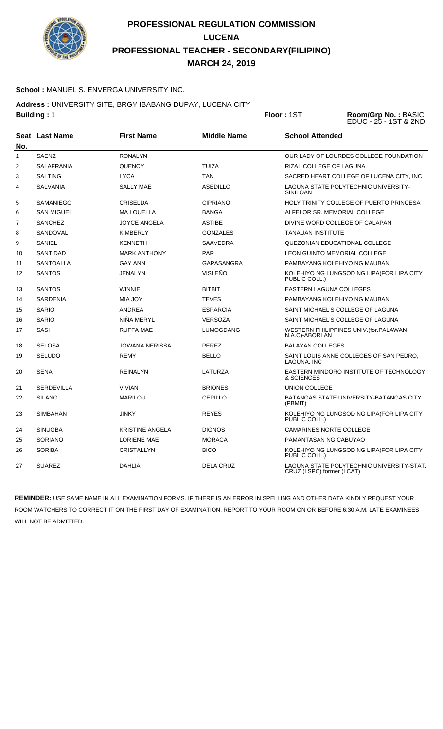

### **School :** MANUEL S. ENVERGA UNIVERSITY INC.

**Address :** UNIVERSITY SITE, BRGY IBABANG DUPAY, LUCENA CITY

| <b>Building: 1</b> |                   |                        | Floor: 1ST         | Room/Grp No.: BASIC<br>EDUC - 25 - 1ST & 2ND |                                            |
|--------------------|-------------------|------------------------|--------------------|----------------------------------------------|--------------------------------------------|
| No.                | Seat Last Name    | <b>First Name</b>      | <b>Middle Name</b> | <b>School Attended</b>                       |                                            |
| $\mathbf{1}$       | <b>SAENZ</b>      | <b>RONALYN</b>         |                    |                                              | OUR LADY OF LOURDES COLLEGE FOUNDATION     |
| 2                  | <b>SALAFRANIA</b> | QUENCY                 | <b>TUIZA</b>       | RIZAL COLLEGE OF LAGUNA                      |                                            |
| 3                  | <b>SALTING</b>    | <b>LYCA</b>            | <b>TAN</b>         |                                              | SACRED HEART COLLEGE OF LUCENA CITY, INC.  |
| 4                  | <b>SALVANIA</b>   | <b>SALLY MAE</b>       | <b>ASEDILLO</b>    | <b>SINILOAN</b>                              | LAGUNA STATE POLYTECHNIC UNIVERSITY-       |
| 5                  | SAMANIEGO         | <b>CRISELDA</b>        | <b>CIPRIANO</b>    |                                              | HOLY TRINITY COLLEGE OF PUERTO PRINCESA    |
| 6                  | <b>SAN MIGUEL</b> | <b>MA LOUELLA</b>      | <b>BANGA</b>       |                                              | ALFELOR SR. MEMORIAL COLLEGE               |
| $\overline{7}$     | <b>SANCHEZ</b>    | JOYCE ANGELA           | <b>ASTIBE</b>      |                                              | DIVINE WORD COLLEGE OF CALAPAN             |
| 8                  | SANDOVAL          | <b>KIMBERLY</b>        | <b>GONZALES</b>    | <b>TANAUAN INSTITUTE</b>                     |                                            |
| 9                  | SANIEL            | <b>KENNETH</b>         | <b>SAAVEDRA</b>    |                                              | QUEZONIAN EDUCATIONAL COLLEGE              |
| 10                 | <b>SANTIDAD</b>   | <b>MARK ANTHONY</b>    | <b>PAR</b>         |                                              | <b>LEON GUINTO MEMORIAL COLLEGE</b>        |
| 11                 | <b>SANTOALLA</b>  | <b>GAY ANN</b>         | <b>GAPASANGRA</b>  |                                              | PAMBAYANG KOLEHIYO NG MAUBAN               |
| 12                 | <b>SANTOS</b>     | JENALYN                | VISLEÑO            | PUBLIC COLL.)                                | KOLEHIYO NG LUNGSOD NG LIPA(FOR LIPA CITY  |
| 13                 | <b>SANTOS</b>     | <b>WINNIE</b>          | <b>BITBIT</b>      | EASTERN LAGUNA COLLEGES                      |                                            |
| 14                 | <b>SARDENIA</b>   | <b>MIA JOY</b>         | <b>TEVES</b>       |                                              | PAMBAYANG KOLEHIYO NG MAUBAN               |
| 15                 | <b>SARIO</b>      | <b>ANDREA</b>          | <b>ESPARCIA</b>    |                                              | SAINT MICHAEL'S COLLEGE OF LAGUNA          |
| 16                 | <b>SARIO</b>      | NIÑA MERYL             | VERSOZA            |                                              | SAINT MICHAEL'S COLLEGE OF LAGUNA          |
| 17                 | <b>SASI</b>       | <b>RUFFA MAE</b>       | <b>LUMOGDANG</b>   | N.A.C)-ABORLAN                               | WESTERN PHILIPPINES UNIV. (for. PALAWAN    |
| 18                 | <b>SELOSA</b>     | JOWANA NERISSA         | PEREZ              | <b>BALAYAN COLLEGES</b>                      |                                            |
| 19                 | SELUDO            | <b>REMY</b>            | <b>BELLO</b>       | LAGUNA. INC                                  | SAINT LOUIS ANNE COLLEGES OF SAN PEDRO.    |
| 20                 | <b>SENA</b>       | <b>REINALYN</b>        | LATURZA            | & SCIENCES                                   | EASTERN MINDORO INSTITUTE OF TECHNOLOGY    |
| 21                 | <b>SERDEVILLA</b> | <b>VIVIAN</b>          | <b>BRIONES</b>     | <b>UNION COLLEGE</b>                         |                                            |
| 22                 | <b>SILANG</b>     | <b>MARILOU</b>         | CEPILLO            | (PBMIT)                                      | BATANGAS STATE UNIVERSITY-BATANGAS CITY    |
| 23                 | <b>SIMBAHAN</b>   | <b>JINKY</b>           | <b>REYES</b>       | PUBLIC COLL.)                                | KOLEHIYO NG LUNGSOD NG LIPA(FOR LIPA CITY  |
| 24                 | <b>SINUGBA</b>    | <b>KRISTINE ANGELA</b> | <b>DIGNOS</b>      | <b>CAMARINES NORTE COLLEGE</b>               |                                            |
| 25                 | <b>SORIANO</b>    | <b>LORIENE MAE</b>     | <b>MORACA</b>      | PAMANTASAN NG CABUYAO                        |                                            |
| 26                 | <b>SORIBA</b>     | CRISTALLYN             | <b>BICO</b>        | PUBLIC COLL.)                                | KOLEHIYO NG LUNGSOD NG LIPA (FOR LIPA CITY |
| 27                 | <b>SUAREZ</b>     | <b>DAHLIA</b>          | <b>DELA CRUZ</b>   | CRUZ (LSPC) former (LCAT)                    | LAGUNA STATE POLYTECHNIC UNIVERSITY-STAT.  |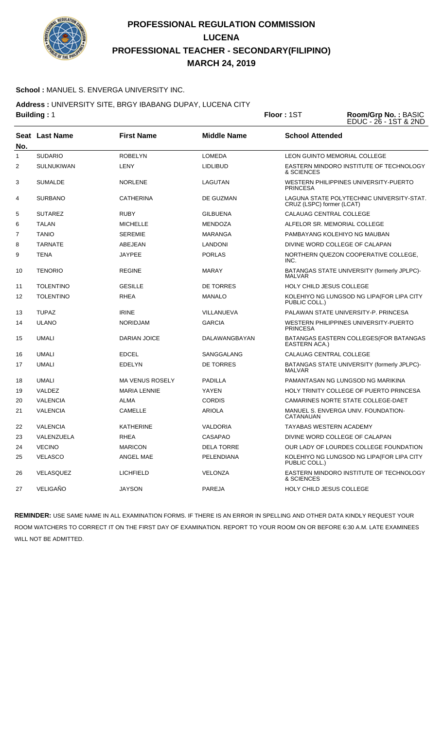

### **School :** MANUEL S. ENVERGA UNIVERSITY INC.

**Address :** UNIVERSITY SITE, BRGY IBABANG DUPAY, LUCENA CITY

|     | <b>Building: 1</b>    |                        |                    | Floor: 1ST                      | Room/Grp No.: BASIC<br>EDUC - 26 - 1ST & 2ND |
|-----|-----------------------|------------------------|--------------------|---------------------------------|----------------------------------------------|
| No. | <b>Seat Last Name</b> | <b>First Name</b>      | <b>Middle Name</b> | <b>School Attended</b>          |                                              |
| 1   | <b>SUDARIO</b>        | <b>ROBELYN</b>         | <b>LOMEDA</b>      |                                 | <b>LEON GUINTO MEMORIAL COLLEGE</b>          |
| 2   | <b>SULNUKIWAN</b>     | LENY                   | <b>LIDLIBUD</b>    | & SCIENCES                      | EASTERN MINDORO INSTITUTE OF TECHNOLOGY      |
| 3   | <b>SUMALDE</b>        | <b>NORLENE</b>         | LAGUTAN            | <b>PRINCESA</b>                 | WESTERN PHILIPPINES UNIVERSITY-PUERTO        |
| 4   | <b>SURBANO</b>        | <b>CATHERINA</b>       | DE GUZMAN          | CRUZ (LSPC) former (LCAT)       | LAGUNA STATE POLYTECHNIC UNIVERSITY-STAT.    |
| 5   | <b>SUTAREZ</b>        | <b>RUBY</b>            | <b>GILBUENA</b>    | CALAUAG CENTRAL COLLEGE         |                                              |
| 6   | <b>TALAN</b>          | <b>MICHELLE</b>        | <b>MENDOZA</b>     |                                 | ALFELOR SR. MEMORIAL COLLEGE                 |
| 7   | <b>TANIO</b>          | <b>SEREMIE</b>         | <b>MARANGA</b>     |                                 | PAMBAYANG KOLEHIYO NG MAUBAN                 |
| 8   | <b>TARNATE</b>        | ABEJEAN                | <b>LANDONI</b>     |                                 | DIVINE WORD COLLEGE OF CALAPAN               |
| 9   | TENA                  | <b>JAYPEE</b>          | <b>PORLAS</b>      | INC.                            | NORTHERN QUEZON COOPERATIVE COLLEGE,         |
| 10  | <b>TENORIO</b>        | <b>REGINE</b>          | <b>MARAY</b>       | <b>MALVAR</b>                   | BATANGAS STATE UNIVERSITY (formerly JPLPC)-  |
| 11  | <b>TOLENTINO</b>      | <b>GESILLE</b>         | <b>DE TORRES</b>   | <b>HOLY CHILD JESUS COLLEGE</b> |                                              |
| 12  | <b>TOLENTINO</b>      | <b>RHEA</b>            | <b>MANALO</b>      | PUBLIC COLL.)                   | KOLEHIYO NG LUNGSOD NG LIPA (FOR LIPA CITY   |
| 13  | <b>TUPAZ</b>          | <b>IRINE</b>           | VILLANUEVA         |                                 | PALAWAN STATE UNIVERSITY-P. PRINCESA         |
| 14  | <b>ULANO</b>          | <b>NORIDJAM</b>        | <b>GARCIA</b>      | <b>PRINCESA</b>                 | WESTERN PHILIPPINES UNIVERSITY-PUERTO        |
| 15  | <b>UMALI</b>          | <b>DARIAN JOICE</b>    | DALAWANGBAYAN      | EASTERN ACA.)                   | BATANGAS EASTERN COLLEGES (FOR BATANGAS      |
| 16  | UMALI                 | <b>EDCEL</b>           | SANGGALANG         | CALAUAG CENTRAL COLLEGE         |                                              |
| 17  | <b>UMALI</b>          | <b>EDELYN</b>          | DE TORRES          | <b>MALVAR</b>                   | BATANGAS STATE UNIVERSITY (formerly JPLPC)-  |
| 18  | UMALI                 | <b>MA VENUS ROSELY</b> | <b>PADILLA</b>     |                                 | PAMANTASAN NG LUNGSOD NG MARIKINA            |
| 19  | VALDEZ                | <b>MARIA LENNIE</b>    | YAYEN              |                                 | HOLY TRINITY COLLEGE OF PUERTO PRINCESA      |
| 20  | <b>VALENCIA</b>       | ALMA                   | <b>CORDIS</b>      |                                 | CAMARINES NORTE STATE COLLEGE-DAET           |
| 21  | <b>VALENCIA</b>       | <b>CAMELLE</b>         | <b>ARIOLA</b>      | CATANAUAN                       | MANUEL S. ENVERGA UNIV. FOUNDATION-          |
| 22  | <b>VALENCIA</b>       | <b>KATHERINE</b>       | <b>VALDORIA</b>    | TAYABAS WESTERN ACADEMY         |                                              |
| 23  | VALENZUELA            | <b>RHEA</b>            | CASAPAO            |                                 | DIVINE WORD COLLEGE OF CALAPAN               |
| 24  | <b>VECINO</b>         | <b>MARICON</b>         | <b>DELA TORRE</b>  |                                 | OUR LADY OF LOURDES COLLEGE FOUNDATION       |
| 25  | <b>VELASCO</b>        | ANGEL MAE              | PELENDIANA         | PUBLIC COLL.)                   | KOLEHIYO NG LUNGSOD NG LIPA (FOR LIPA CITY   |
| 26  | VELASQUEZ             | <b>LICHFIELD</b>       | <b>VELONZA</b>     | & SCIENCES                      | EASTERN MINDORO INSTITUTE OF TECHNOLOGY      |
| 27  | VELIGAÑO              | <b>JAYSON</b>          | <b>PAREJA</b>      | <b>HOLY CHILD JESUS COLLEGE</b> |                                              |